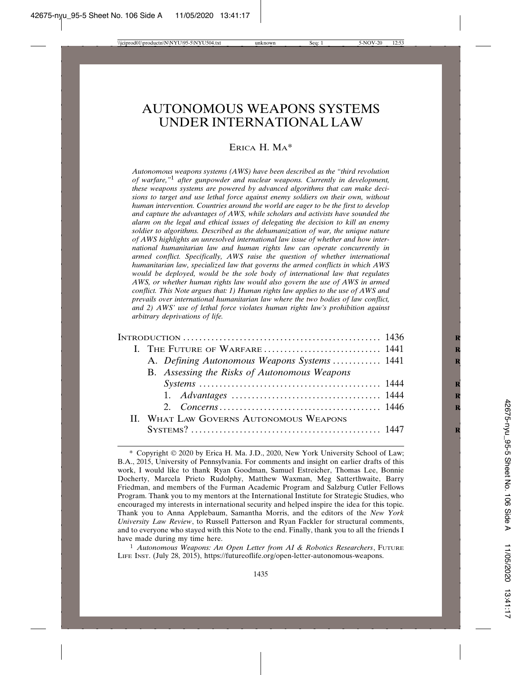# AUTONOMOUS WEAPONS SYSTEMS UNDER INTERNATIONAL LAW

## ERICA H. MA\*

*Autonomous weapons systems (AWS) have been described as the "third revolution of warfare,"*1 *after gunpowder and nuclear weapons. Currently in development, these weapons systems are powered by advanced algorithms that can make decisions to target and use lethal force against enemy soldiers on their own, without human intervention. Countries around the world are eager to be the first to develop and capture the advantages of AWS, while scholars and activists have sounded the alarm on the legal and ethical issues of delegating the decision to kill an enemy soldier to algorithms. Described as the dehumanization of war, the unique nature of AWS highlights an unresolved international law issue of whether and how international humanitarian law and human rights law can operate concurrently in armed conflict. Specifically, AWS raise the question of whether international humanitarian law, specialized law that governs the armed conflicts in which AWS would be deployed, would be the sole body of international law that regulates AWS, or whether human rights law would also govern the use of AWS in armed conflict. This Note argues that: 1) Human rights law applies to the use of AWS and prevails over international humanitarian law where the two bodies of law conflict, and 2) AWS' use of lethal force violates human rights law's prohibition against arbitrary deprivations of life.*

|  | A. Defining Autonomous Weapons Systems 1441  |  |
|--|----------------------------------------------|--|
|  | B. Assessing the Risks of Autonomous Weapons |  |
|  |                                              |  |
|  |                                              |  |
|  |                                              |  |
|  | II. WHAT LAW GOVERNS AUTONOMOUS WEAPONS      |  |
|  |                                              |  |

<sup>1</sup> Autonomous Weapons: An Open Letter from AI & Robotics Researchers, FUTURE LIFE INST. (July 28, 2015), https://futureoflife.org/open-letter-autonomous-weapons.

<sup>\*</sup> Copyright 2020 by Erica H. Ma. J.D., 2020, New York University School of Law; B.A., 2015, University of Pennsylvania. For comments and insight on earlier drafts of this work, I would like to thank Ryan Goodman, Samuel Estreicher, Thomas Lee, Bonnie Docherty, Marcela Prieto Rudolphy, Matthew Waxman, Meg Satterthwaite, Barry Friedman, and members of the Furman Academic Program and Salzburg Cutler Fellows Program. Thank you to my mentors at the International Institute for Strategic Studies, who encouraged my interests in international security and helped inspire the idea for this topic. Thank you to Anna Applebaum, Samantha Morris, and the editors of the *New York University Law Review*, to Russell Patterson and Ryan Fackler for structural comments, and to everyone who stayed with this Note to the end. Finally, thank you to all the friends I have made during my time here.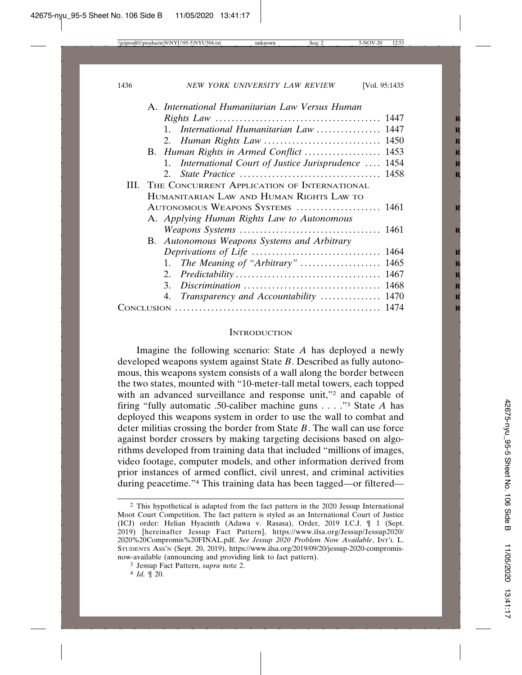| A. International Humanitarian Law Versus Human        |  |
|-------------------------------------------------------|--|
|                                                       |  |
| 1. International Humanitarian Law  1447               |  |
|                                                       |  |
| B. Human Rights in Armed Conflict  1453               |  |
| 1. International Court of Justice Jurisprudence  1454 |  |
|                                                       |  |
| THE CONCURRENT APPLICATION OF INTERNATIONAL<br>HI.    |  |
| HUMANITARIAN LAW AND HUMAN RIGHTS LAW TO              |  |
| AUTONOMOUS WEAPONS SYSTEMS  1461                      |  |
| A. Applying Human Rights Law to Autonomous            |  |
|                                                       |  |
| B. Autonomous Weapons Systems and Arbitrary           |  |
|                                                       |  |
| The Meaning of "Arbitrary"  1465<br>1.                |  |
|                                                       |  |
|                                                       |  |
| 4. Transparency and Accountability  1470              |  |
|                                                       |  |
|                                                       |  |

#### **INTRODUCTION**

Imagine the following scenario: State *A* has deployed a newly developed weapons system against State *B*. Described as fully autonomous, this weapons system consists of a wall along the border between the two states, mounted with "10-meter-tall metal towers, each topped with an advanced surveillance and response unit,"2 and capable of firing "fully automatic .50-caliber machine guns . . . ."3 State *A* has deployed this weapons system in order to use the wall to combat and deter militias crossing the border from State *B*. The wall can use force against border crossers by making targeting decisions based on algorithms developed from training data that included "millions of images, video footage, computer models, and other information derived from prior instances of armed conflict, civil unrest, and criminal activities during peacetime."4 This training data has been tagged—or filtered—

<sup>2</sup> This hypothetical is adapted from the fact pattern in the 2020 Jessup International Moot Court Competition. The fact pattern is styled as an International Court of Justice (ICJ) order: Helian Hyacinth (Adawa v. Rasasa), Order, 2019 I.C.J. ¶ 1 (Sept. 2019) [hereinafter Jessup Fact Pattern], https://www.ilsa.org/Jessup/Jessup2020/ 2020%20Compromis%20FINAL.pdf. *See Jessup 2020 Problem Now Available*, INT'L L. STUDENTS ASS'N (Sept. 20, 2019), https://www.ilsa.org/2019/09/20/jessup-2020-compromisnow-available (announcing and providing link to fact pattern).

<sup>3</sup> Jessup Fact Pattern, *supra* note 2.

<sup>4</sup> *Id.* ¶ 20.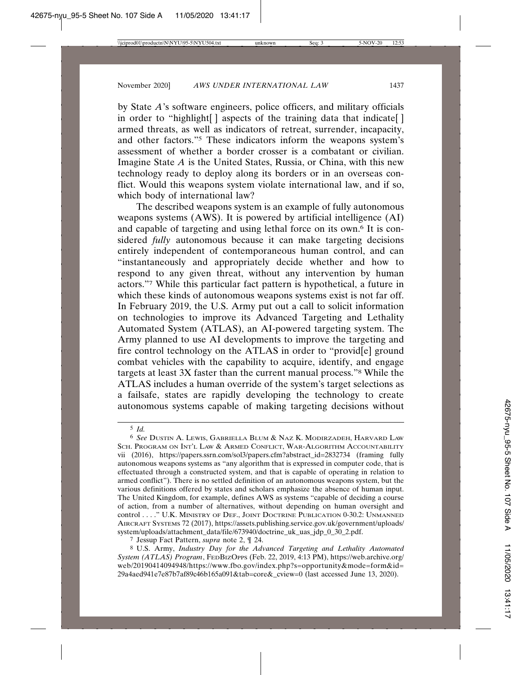by State *A*'s software engineers, police officers, and military officials in order to "highlight[] aspects of the training data that indicate[] armed threats, as well as indicators of retreat, surrender, incapacity, and other factors."5 These indicators inform the weapons system's assessment of whether a border crosser is a combatant or civilian. Imagine State *A* is the United States, Russia, or China, with this new technology ready to deploy along its borders or in an overseas conflict. Would this weapons system violate international law, and if so, which body of international law?

The described weapons system is an example of fully autonomous weapons systems (AWS). It is powered by artificial intelligence (AI) and capable of targeting and using lethal force on its own.6 It is considered *fully* autonomous because it can make targeting decisions entirely independent of contemporaneous human control, and can "instantaneously and appropriately decide whether and how to respond to any given threat, without any intervention by human actors."7 While this particular fact pattern is hypothetical, a future in which these kinds of autonomous weapons systems exist is not far off. In February 2019, the U.S. Army put out a call to solicit information on technologies to improve its Advanced Targeting and Lethality Automated System (ATLAS), an AI-powered targeting system. The Army planned to use AI developments to improve the targeting and fire control technology on the ATLAS in order to "provid[e] ground combat vehicles with the capability to acquire, identify, and engage targets at least 3X faster than the current manual process."8 While the ATLAS includes a human override of the system's target selections as a failsafe, states are rapidly developing the technology to create autonomous systems capable of making targeting decisions without

<sup>5</sup> *Id.*

<sup>6</sup> *See* DUSTIN A. LEWIS, GABRIELLA BLUM & NAZ K. MODIRZADEH, HARVARD LAW SCH. PROGRAM ON INT'L LAW & ARMED CONFLICT, WAR-ALGORITHM ACCOUNTABILITY vii (2016), https://papers.ssrn.com/sol3/papers.cfm?abstract\_id=2832734 (framing fully autonomous weapons systems as "any algorithm that is expressed in computer code, that is effectuated through a constructed system, and that is capable of operating in relation to armed conflict"). There is no settled definition of an autonomous weapons system, but the various definitions offered by states and scholars emphasize the absence of human input. The United Kingdom, for example, defines AWS as systems "capable of deciding a course of action, from a number of alternatives, without depending on human oversight and control . . . ." U.K. MINISTRY OF DEF., JOINT DOCTRINE PUBLICATION 0-30.2: UNMANNED AIRCRAFT SYSTEMS 72 (2017), https://assets.publishing.service.gov.uk/government/uploads/ system/uploads/attachment\_data/file/673940/doctrine\_uk\_uas\_jdp\_0\_30\_2.pdf.

<sup>7</sup> Jessup Fact Pattern, *supra* note 2, ¶ 24.

<sup>8</sup> U.S. Army, *Industry Day for the Advanced Targeting and Lethality Automated System (ATLAS) Program*, FEDBIZOPPS (Feb. 22, 2019, 4:13 PM), https://web.archive.org/ web/20190414094948/https://www.fbo.gov/index.php?s=opportunity&mode=form&id= 29a4aed941e7e87b7af89c46b165a091&tab=core&\_cview=0 (last accessed June 13, 2020).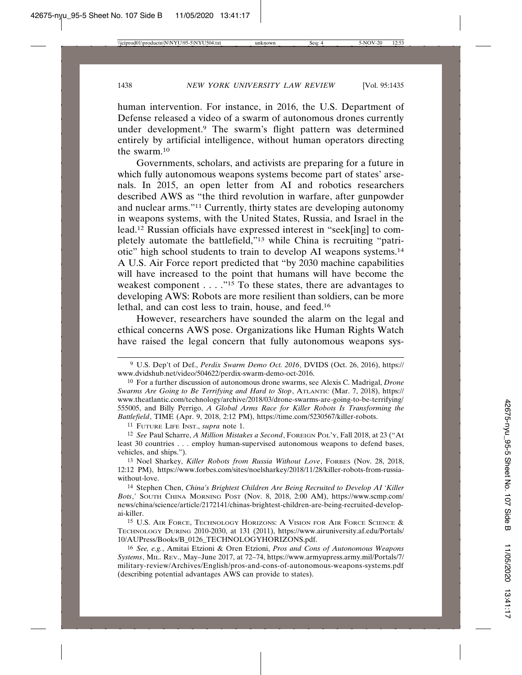human intervention. For instance, in 2016, the U.S. Department of Defense released a video of a swarm of autonomous drones currently under development.9 The swarm's flight pattern was determined entirely by artificial intelligence, without human operators directing the swarm.10

Governments, scholars, and activists are preparing for a future in which fully autonomous weapons systems become part of states' arsenals. In 2015, an open letter from AI and robotics researchers described AWS as "the third revolution in warfare, after gunpowder and nuclear arms."11 Currently, thirty states are developing autonomy in weapons systems, with the United States, Russia, and Israel in the lead.12 Russian officials have expressed interest in "seek[ing] to completely automate the battlefield,"13 while China is recruiting "patriotic" high school students to train to develop AI weapons systems.14 A U.S. Air Force report predicted that "by 2030 machine capabilities will have increased to the point that humans will have become the weakest component  $\dots$ ."<sup>15</sup> To these states, there are advantages to developing AWS: Robots are more resilient than soldiers, can be more lethal, and can cost less to train, house, and feed.16

However, researchers have sounded the alarm on the legal and ethical concerns AWS pose. Organizations like Human Rights Watch have raised the legal concern that fully autonomous weapons sys-

11 FUTURE LIFE INST., *supra* note 1.

12 *See* Paul Scharre, *A Million Mistakes a Second*, FOREIGN POL'Y, Fall 2018, at 23 ("At least 30 countries . . . employ human-supervised autonomous weapons to defend bases, vehicles, and ships.").

14 Stephen Chen, *China's Brightest Children Are Being Recruited to Develop AI 'Killer Bots*,*'* SOUTH CHINA MORNING POST (Nov. 8, 2018, 2:00 AM), https://www.scmp.com/ news/china/science/article/2172141/chinas-brightest-children-are-being-recruited-developai-killer.

15 U.S. AIR FORCE, TECHNOLOGY HORIZONS: A VISION FOR AIR FORCE SCIENCE & TECHNOLOGY DURING 2010-2030, at 131 (2011), https://www.airuniversity.af.edu/Portals/ 10/AUPress/Books/B\_0126\_TECHNOLOGYHORIZONS.pdf.

16 *See, e.g.*, Amitai Etzioni & Oren Etzioni, *Pros and Cons of Autonomous Weapons Systems*, MIL. REV., May–June 2017, at 72–74, https://www.armyupress.army.mil/Portals/7/ military-review/Archives/English/pros-and-cons-of-autonomous-weapons-systems.pdf (describing potential advantages AWS can provide to states).

<sup>9</sup> U.S. Dep't of Def., *Perdix Swarm Demo Oct. 2016*, DVIDS (Oct. 26, 2016), https:// www.dvidshub.net/video/504622/perdix-swarm-demo-oct-2016.

<sup>10</sup> For a further discussion of autonomous drone swarms, see Alexis C. Madrigal, *Drone Swarms Are Going to Be Terrifying and Hard to Stop*, ATLANTIC (Mar. 7, 2018), https:// www.theatlantic.com/technology/archive/2018/03/drone-swarms-are-going-to-be-terrifying/ 555005, and Billy Perrigo, *A Global Arms Race for Killer Robots Is Transforming the Battlefield*, TIME (Apr. 9, 2018, 2:12 PM), https://time.com/5230567/killer-robots.

<sup>13</sup> Noel Sharkey, *Killer Robots from Russia Without Love*, FORBES (Nov. 28, 2018, 12:12 PM), https://www.forbes.com/sites/noelsharkey/2018/11/28/killer-robots-from-russiawithout-love.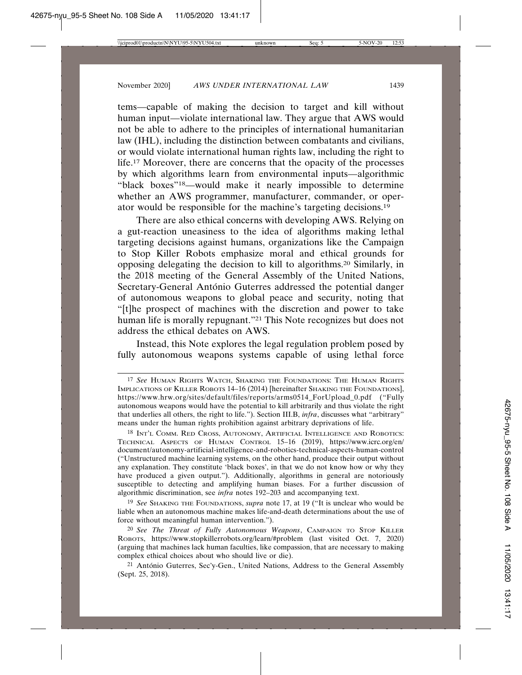tems—capable of making the decision to target and kill without human input—violate international law. They argue that AWS would not be able to adhere to the principles of international humanitarian law (IHL), including the distinction between combatants and civilians, or would violate international human rights law, including the right to life.17 Moreover, there are concerns that the opacity of the processes by which algorithms learn from environmental inputs—algorithmic "black boxes"18—would make it nearly impossible to determine whether an AWS programmer, manufacturer, commander, or operator would be responsible for the machine's targeting decisions.19

There are also ethical concerns with developing AWS. Relying on a gut-reaction uneasiness to the idea of algorithms making lethal targeting decisions against humans, organizations like the Campaign to Stop Killer Robots emphasize moral and ethical grounds for opposing delegating the decision to kill to algorithms.20 Similarly, in the 2018 meeting of the General Assembly of the United Nations, Secretary-General António Guterres addressed the potential danger of autonomous weapons to global peace and security, noting that "[t]he prospect of machines with the discretion and power to take human life is morally repugnant."21 This Note recognizes but does not address the ethical debates on AWS.

Instead, this Note explores the legal regulation problem posed by fully autonomous weapons systems capable of using lethal force

<sup>17</sup> *See* HUMAN RIGHTS WATCH, SHAKING THE FOUNDATIONS: THE HUMAN RIGHTS IMPLICATIONS OF KILLER ROBOTS 14–16 (2014) [hereinafter SHAKING THE FOUNDATIONS], https://www.hrw.org/sites/default/files/reports/arms0514\_ForUpload\_0.pdf ("Fully autonomous weapons would have the potential to kill arbitrarily and thus violate the right that underlies all others, the right to life."). Section III.B, *infra*, discusses what "arbitrary" means under the human rights prohibition against arbitrary deprivations of life.

<sup>18</sup> INT'L COMM. RED CROSS, AUTONOMY, ARTIFICIAL INTELLIGENCE AND ROBOTICS: TECHNICAL ASPECTS OF HUMAN CONTROL 15–16 (2019), https://www.icrc.org/en/ document/autonomy-artificial-intelligence-and-robotics-technical-aspects-human-control ("Unstructured machine learning systems, on the other hand, produce their output without any explanation. They constitute 'black boxes', in that we do not know how or why they have produced a given output."). Additionally, algorithms in general are notoriously susceptible to detecting and amplifying human biases. For a further discussion of algorithmic discrimination, see *infra* notes 192–203 and accompanying text.

<sup>19</sup> *See* SHAKING THE FOUNDATIONS, *supra* note 17, at 19 ("It is unclear who would be liable when an autonomous machine makes life-and-death determinations about the use of force without meaningful human intervention.").

<sup>20</sup> *See The Threat of Fully Autonomous Weapons*, CAMPAIGN TO STOP KILLER ROBOTS, https://www.stopkillerrobots.org/learn/#problem (last visited Oct. 7, 2020) (arguing that machines lack human faculties, like compassion, that are necessary to making complex ethical choices about who should live or die).

 $21$  António Guterres, Sec'y-Gen., United Nations, Address to the General Assembly (Sept. 25, 2018).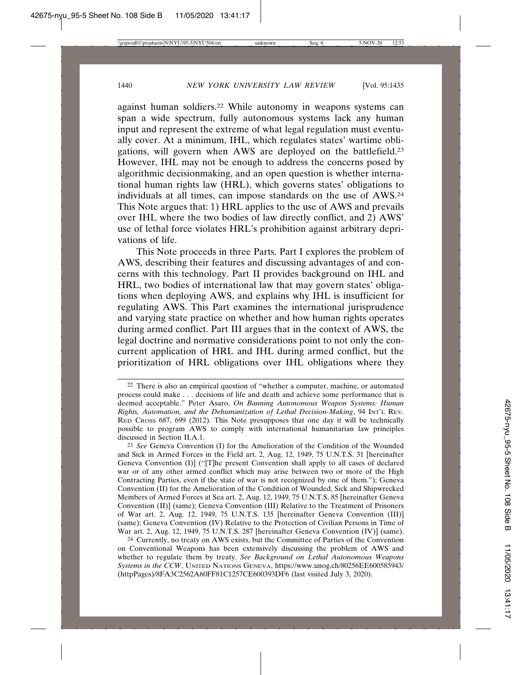against human soldiers.22 While autonomy in weapons systems can span a wide spectrum, fully autonomous systems lack any human input and represent the extreme of what legal regulation must eventually cover. At a minimum, IHL, which regulates states' wartime obligations, will govern when AWS are deployed on the battlefield.23 However, IHL may not be enough to address the concerns posed by algorithmic decisionmaking, and an open question is whether international human rights law (HRL), which governs states' obligations to individuals at all times, can impose standards on the use of AWS.24 This Note argues that: 1) HRL applies to the use of AWS and prevails over IHL where the two bodies of law directly conflict, and 2) AWS' use of lethal force violates HRL's prohibition against arbitrary deprivations of life.

This Note proceeds in three Parts. Part I explores the problem of AWS, describing their features and discussing advantages of and concerns with this technology. Part II provides background on IHL and HRL, two bodies of international law that may govern states' obligations when deploying AWS, and explains why IHL is insufficient for regulating AWS. This Part examines the international jurisprudence and varying state practice on whether and how human rights operates during armed conflict. Part III argues that in the context of AWS, the legal doctrine and normative considerations point to not only the concurrent application of HRL and IHL during armed conflict, but the prioritization of HRL obligations over IHL obligations where they

23 *See* Geneva Convention (I) for the Amelioration of the Condition of the Wounded and Sick in Armed Forces in the Field art. 2, Aug. 12, 1949, 75 U.N.T.S. 31 [hereinafter Geneva Convention (I)] ("[T]he present Convention shall apply to all cases of declared war or of any other armed conflict which may arise between two or more of the High Contracting Parties, even if the state of war is not recognized by one of them."); Geneva Convention (II) for the Amelioration of the Condition of Wounded, Sick and Shipwrecked Members of Armed Forces at Sea art. 2, Aug. 12, 1949, 75 U.N.T.S. 85 [hereinafter Geneva Convention (II)] (same); Geneva Convention (III) Relative to the Treatment of Prisoners of War art. 2, Aug. 12, 1949, 75 U.N.T.S. 135 [hereinafter Geneva Convention (III)] (same); Geneva Convention (IV) Relative to the Protection of Civilian Persons in Time of War art. 2, Aug. 12, 1949, 75 U.N.T.S. 287 [hereinafter Geneva Convention (IV)] (same).

24 Currently, no treaty on AWS exists, but the Committee of Parties of the Convention on Conventional Weapons has been extensively discussing the problem of AWS and whether to regulate them by treaty. *See Background on Lethal Autonomous Weapons Systems in the CCW*, UNITED NATIONS GENEVA, https://www.unog.ch/80256EE600585943/ (httpPages)/8FA3C2562A60FF81C1257CE600393DF6 (last visited July 3, 2020).

 $22$  There is also an empirical question of "whether a computer, machine, or automated process could make . . . decisions of life and death and achieve some performance that is deemed acceptable." Peter Asaro, *On Banning Autonomous Weapon Systems: Human Rights, Automation, and the Dehumanization of Lethal Decision-Making*, 94 INT'L REV. RED CROSS 687, 699 (2012). This Note presupposes that one day it will be technically possible to program AWS to comply with international humanitarian law principles discussed in Section II.A.1.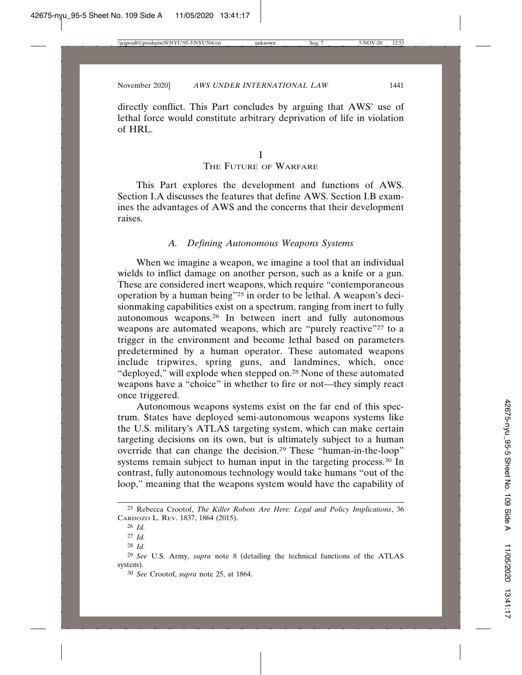directly conflict. This Part concludes by arguing that AWS' use of lethal force would constitute arbitrary deprivation of life in violation of HRL.

## THE FUTURE OF WARFARE

This Part explores the development and functions of AWS. Section I.A discusses the features that define AWS. Section I.B examines the advantages of AWS and the concerns that their development raises.

#### *A. Defining Autonomous Weapons Systems*

When we imagine a weapon, we imagine a tool that an individual wields to inflict damage on another person, such as a knife or a gun. These are considered inert weapons, which require "contemporaneous operation by a human being"<sup>25</sup> in order to be lethal. A weapon's decisionmaking capabilities exist on a spectrum, ranging from inert to fully autonomous weapons.26 In between inert and fully autonomous weapons are automated weapons, which are "purely reactive"<sup>27</sup> to a trigger in the environment and become lethal based on parameters predetermined by a human operator. These automated weapons include tripwires, spring guns, and landmines, which, once "deployed," will explode when stepped on.<sup>28</sup> None of these automated weapons have a "choice" in whether to fire or not—they simply react once triggered.

Autonomous weapons systems exist on the far end of this spectrum. States have deployed semi-autonomous weapons systems like the U.S. military's ATLAS targeting system, which can make certain targeting decisions on its own, but is ultimately subject to a human override that can change the decision.29 These "human-in-the-loop" systems remain subject to human input in the targeting process.<sup>30</sup> In contrast, fully autonomous technology would take humans "out of the loop," meaning that the weapons system would have the capability of

<sup>25</sup> Rebecca Crootof, *The Killer Robots Are Here: Legal and Policy Implications*, 36 CARDOZO L. REV. 1837, 1864 (2015).

<sup>26</sup> *Id.*

<sup>27</sup> *Id.*

<sup>28</sup> *Id.*

<sup>29</sup> *See* U.S. Army, *supra* note 8 (detailing the technical functions of the ATLAS system).

<sup>30</sup> *See* Crootof, *supra* note 25, at 1864.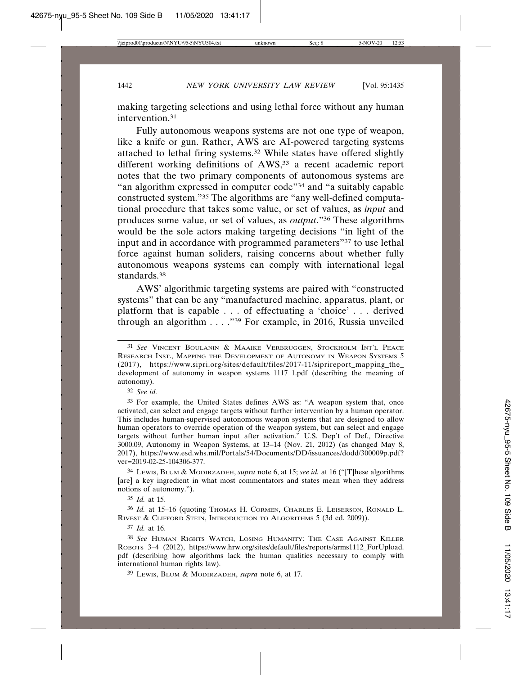making targeting selections and using lethal force without any human intervention.31

Fully autonomous weapons systems are not one type of weapon, like a knife or gun. Rather, AWS are AI-powered targeting systems attached to lethal firing systems.32 While states have offered slightly different working definitions of AWS,<sup>33</sup> a recent academic report notes that the two primary components of autonomous systems are "an algorithm expressed in computer code"34 and "a suitably capable constructed system."35 The algorithms are "any well-defined computational procedure that takes some value, or set of values, as *input* and produces some value, or set of values, as *output*."36 These algorithms would be the sole actors making targeting decisions "in light of the input and in accordance with programmed parameters"37 to use lethal force against human soliders, raising concerns about whether fully autonomous weapons systems can comply with international legal standards.38

AWS' algorithmic targeting systems are paired with "constructed systems" that can be any "manufactured machine, apparatus, plant, or platform that is capable . . . of effectuating a 'choice' . . . derived through an algorithm . . . ."39 For example, in 2016, Russia unveiled

32 *See id.*

34 LEWIS, BLUM & MODIRZADEH, *supra* note 6, at 15; *see id.* at 16 ("[T]hese algorithms [are] a key ingredient in what most commentators and states mean when they address notions of autonomy.").

35 *Id.* at 15.

36 *Id.* at 15–16 (quoting THOMAS H. CORMEN, CHARLES E. LEISERSON, RONALD L. RIVEST & CLIFFORD STEIN, INTRODUCTION TO ALGORITHMS 5 (3d ed. 2009)).

37 *Id.* at 16.

39 LEWIS, BLUM & MODIRZADEH, *supra* note 6, at 17.

<sup>31</sup> *See* VINCENT BOULANIN & MAAIKE VERBRUGGEN, STOCKHOLM INT'L PEACE RESEARCH INST., MAPPING THE DEVELOPMENT OF AUTONOMY IN WEAPON SYSTEMS 5 (2017), https://www.sipri.org/sites/default/files/2017-11/siprireport\_mapping\_the\_ development\_of\_autonomy\_in\_weapon\_systems\_1117\_1.pdf (describing the meaning of autonomy).

<sup>33</sup> For example, the United States defines AWS as: "A weapon system that, once activated, can select and engage targets without further intervention by a human operator. This includes human-supervised autonomous weapon systems that are designed to allow human operators to override operation of the weapon system, but can select and engage targets without further human input after activation." U.S. Dep't of Def., Directive 3000.09, Autonomy in Weapon Systems, at 13–14 (Nov. 21, 2012) (as changed May 8, 2017), https://www.esd.whs.mil/Portals/54/Documents/DD/issuances/dodd/300009p.pdf? ver=2019-02-25-104306-377.

<sup>38</sup> *See* HUMAN RIGHTS WATCH, LOSING HUMANITY: THE CASE AGAINST KILLER ROBOTS 3–4 (2012), https://www.hrw.org/sites/default/files/reports/arms1112\_ForUpload. pdf (describing how algorithms lack the human qualities necessary to comply with international human rights law).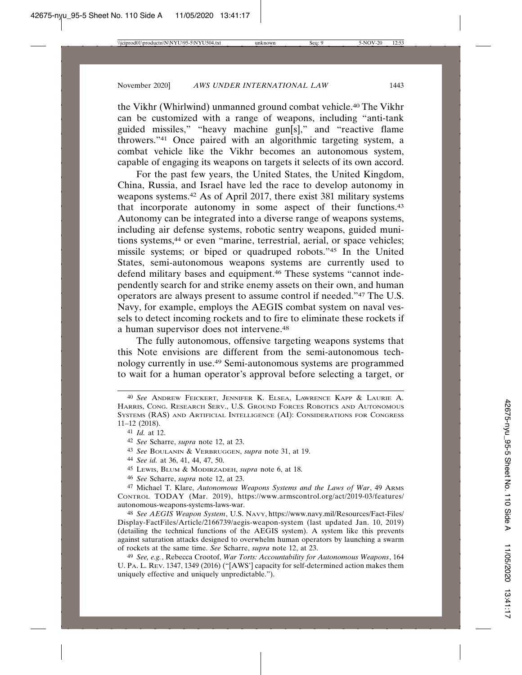the Vikhr (Whirlwind) unmanned ground combat vehicle.40 The Vikhr can be customized with a range of weapons, including "anti-tank guided missiles," "heavy machine gun[s]," and "reactive flame throwers."41 Once paired with an algorithmic targeting system, a combat vehicle like the Vikhr becomes an autonomous system, capable of engaging its weapons on targets it selects of its own accord.

For the past few years, the United States, the United Kingdom, China, Russia, and Israel have led the race to develop autonomy in weapons systems.42 As of April 2017, there exist 381 military systems that incorporate autonomy in some aspect of their functions.43 Autonomy can be integrated into a diverse range of weapons systems, including air defense systems, robotic sentry weapons, guided munitions systems,44 or even "marine, terrestrial, aerial, or space vehicles; missile systems; or biped or quadruped robots."45 In the United States, semi-autonomous weapons systems are currently used to defend military bases and equipment.<sup>46</sup> These systems "cannot independently search for and strike enemy assets on their own, and human operators are always present to assume control if needed."47 The U.S. Navy, for example, employs the AEGIS combat system on naval vessels to detect incoming rockets and to fire to eliminate these rockets if a human supervisor does not intervene.48

The fully autonomous, offensive targeting weapons systems that this Note envisions are different from the semi-autonomous technology currently in use.49 Semi-autonomous systems are programmed to wait for a human operator's approval before selecting a target, or

- 43 *See* BOULANIN & VERBRUGGEN, *supra* note 31, at 19.
- 44 *See id.* at 36, 41, 44, 47, 50.
- 45 LEWIS, BLUM & MODIRZADEH, *supra* note 6, at 18.
- 46 *See* Scharre, *supra* note 12, at 23.

47 Michael T. Klare, *Autonomous Weapons Systems and the Laws of War*, 49 ARMS CONTROL TODAY (Mar. 2019), https://www.armscontrol.org/act/2019-03/features/ autonomous-weapons-systems-laws-war.

48 *See AEGIS Weapon System*, U.S. NAVY, https://www.navy.mil/Resources/Fact-Files/ Display-FactFiles/Article/2166739/aegis-weapon-system (last updated Jan. 10, 2019) (detailing the technical functions of the AEGIS system). A system like this prevents against saturation attacks designed to overwhelm human operators by launching a swarm of rockets at the same time. *See* Scharre, *supra* note 12, at 23.

49 *See, e.g.*, Rebecca Crootof, *War Torts: Accountability for Autonomous Weapons*, 164 U. PA. L. REV. 1347, 1349 (2016) ("[AWS'] capacity for self-determined action makes them uniquely effective and uniquely unpredictable.").

<sup>40</sup> *See* ANDREW FEICKERT, JENNIFER K. ELSEA, LAWRENCE KAPP & LAURIE A. HARRIS, CONG. RESEARCH SERV., U.S. GROUND FORCES ROBOTICS AND AUTONOMOUS SYSTEMS (RAS) AND ARTIFICIAL INTELLIGENCE (AI): CONSIDERATIONS FOR CONGRESS 11–12 (2018).

<sup>41</sup> *Id.* at 12.

<sup>42</sup> *See* Scharre, *supra* note 12, at 23.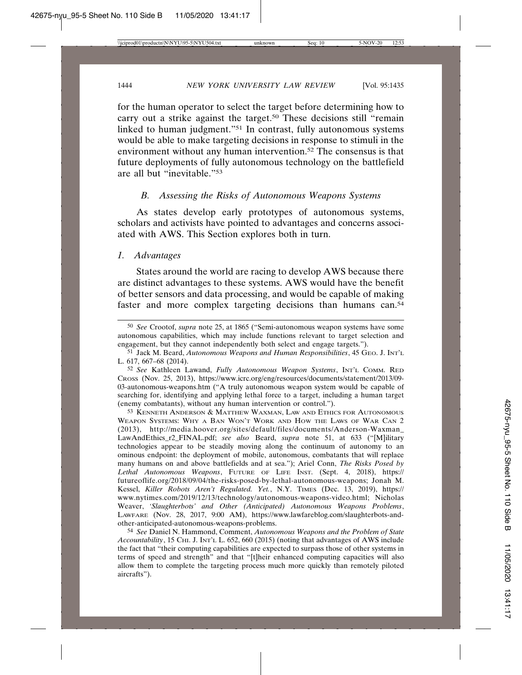for the human operator to select the target before determining how to carry out a strike against the target.50 These decisions still "remain linked to human judgment."51 In contrast, fully autonomous systems would be able to make targeting decisions in response to stimuli in the environment without any human intervention.<sup>52</sup> The consensus is that future deployments of fully autonomous technology on the battlefield are all but "inevitable."53

### *B. Assessing the Risks of Autonomous Weapons Systems*

As states develop early prototypes of autonomous systems, scholars and activists have pointed to advantages and concerns associated with AWS. This Section explores both in turn.

#### *1. Advantages*

States around the world are racing to develop AWS because there are distinct advantages to these systems. AWS would have the benefit of better sensors and data processing, and would be capable of making faster and more complex targeting decisions than humans can.<sup>54</sup>

53 KENNETH ANDERSON & MATTHEW WAXMAN, LAW AND ETHICS FOR AUTONOMOUS WEAPON SYSTEMS: WHY A BAN WON'T WORK AND HOW THE LAWS OF WAR CAN 2 (2013), http://media.hoover.org/sites/default/files/documents/Anderson-Waxman\_ LawAndEthics\_r2\_FINAL.pdf; *see also* Beard, *supra* note 51, at 633 ("[M]ilitary technologies appear to be steadily moving along the continuum of autonomy to an ominous endpoint: the deployment of mobile, autonomous, combatants that will replace many humans on and above battlefields and at sea."); Ariel Conn, *The Risks Posed by Lethal Autonomous Weapons*, FUTURE OF LIFE INST. (Sept. 4, 2018), https:// futureoflife.org/2018/09/04/the-risks-posed-by-lethal-autonomous-weapons; Jonah M. Kessel, *Killer Robots Aren't Regulated. Yet.*, N.Y. TIMES (Dec. 13, 2019), https:// www.nytimes.com/2019/12/13/technology/autonomous-weapons-video.html; Nicholas Weaver, *'Slaughterbots' and Other (Anticipated) Autonomous Weapons Problems*, LAWFARE (Nov. 28, 2017, 9:00 AM), https://www.lawfareblog.com/slaughterbots-andother-anticipated-autonomous-weapons-problems.

54 *See* Daniel N. Hammond, Comment, *Autonomous Weapons and the Problem of State Accountability*, 15 CHI. J. INT'L L. 652, 660 (2015) (noting that advantages of AWS include the fact that "their computing capabilities are expected to surpass those of other systems in terms of speed and strength" and that "[t]heir enhanced computing capacities will also allow them to complete the targeting process much more quickly than remotely piloted aircrafts").

<sup>50</sup> *See* Crootof, *supra* note 25, at 1865 ("Semi-autonomous weapon systems have some autonomous capabilities, which may include functions relevant to target selection and engagement, but they cannot independently both select and engage targets.").

<sup>51</sup> Jack M. Beard, *Autonomous Weapons and Human Responsibilities*, 45 GEO. J. INT'L L. 617, 667–68 (2014).

<sup>52</sup> *See* Kathleen Lawand, *Fully Autonomous Weapon Systems*, INT'L COMM. RED CROSS (Nov. 25, 2013), https://www.icrc.org/eng/resources/documents/statement/2013/09- 03-autonomous-weapons.htm ("A truly autonomous weapon system would be capable of searching for, identifying and applying lethal force to a target, including a human target (enemy combatants), without any human intervention or control.").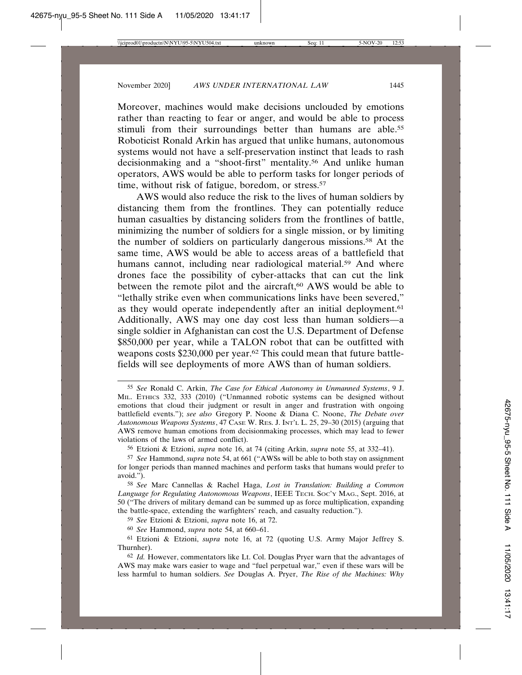Moreover, machines would make decisions unclouded by emotions rather than reacting to fear or anger, and would be able to process stimuli from their surroundings better than humans are able.<sup>55</sup> Roboticist Ronald Arkin has argued that unlike humans, autonomous systems would not have a self-preservation instinct that leads to rash decisionmaking and a "shoot-first" mentality.56 And unlike human operators, AWS would be able to perform tasks for longer periods of time, without risk of fatigue, boredom, or stress.<sup>57</sup>

AWS would also reduce the risk to the lives of human soldiers by distancing them from the frontlines. They can potentially reduce human casualties by distancing soliders from the frontlines of battle, minimizing the number of soldiers for a single mission, or by limiting the number of soldiers on particularly dangerous missions.58 At the same time, AWS would be able to access areas of a battlefield that humans cannot, including near radiological material.<sup>59</sup> And where drones face the possibility of cyber-attacks that can cut the link between the remote pilot and the aircraft,<sup>60</sup> AWS would be able to "lethally strike even when communications links have been severed," as they would operate independently after an initial deployment.<sup>61</sup> Additionally, AWS may one day cost less than human soldiers—a single soldier in Afghanistan can cost the U.S. Department of Defense \$850,000 per year, while a TALON robot that can be outfitted with weapons costs \$230,000 per year.62 This could mean that future battlefields will see deployments of more AWS than of human soldiers.

<sup>55</sup> *See* Ronald C. Arkin, *The Case for Ethical Autonomy in Unmanned Systems*, 9 J. MIL. ETHICS 332, 333 (2010) ("Unmanned robotic systems can be designed without emotions that cloud their judgment or result in anger and frustration with ongoing battlefield events."); *see also* Gregory P. Noone & Diana C. Noone, *The Debate over Autonomous Weapons Systems*, 47 CASE W. RES. J. INT'L L. 25, 29–30 (2015) (arguing that AWS remove human emotions from decisionmaking processes, which may lead to fewer violations of the laws of armed conflict).

<sup>56</sup> Etzioni & Etzioni, *supra* note 16, at 74 (citing Arkin, *supra* note 55, at 332–41).

<sup>57</sup> *See* Hammond, *supra* note 54, at 661 ("AWSs will be able to both stay on assignment for longer periods than manned machines and perform tasks that humans would prefer to avoid.").

<sup>58</sup> *See* Marc Cannellas & Rachel Haga, *Lost in Translation: Building a Common Language for Regulating Autonomous Weapons*, IEEE TECH. SOC'Y MAG., Sept. 2016, at 50 ("The drivers of military demand can be summed up as force multiplication, expanding the battle-space, extending the warfighters' reach, and casualty reduction.").

<sup>59</sup> *See* Etzioni & Etzioni, *supra* note 16, at 72.

<sup>60</sup> *See* Hammond, *supra* note 54, at 660–61.

<sup>61</sup> Etzioni & Etzioni, *supra* note 16, at 72 (quoting U.S. Army Major Jeffrey S. Thurnher).

<sup>62</sup> *Id.* However, commentators like Lt. Col. Douglas Pryer warn that the advantages of AWS may make wars easier to wage and "fuel perpetual war," even if these wars will be less harmful to human soldiers. *See* Douglas A. Pryer, *The Rise of the Machines: Why*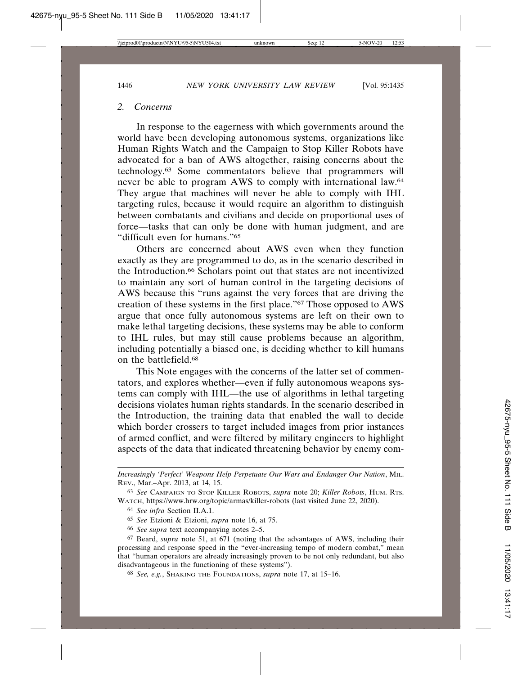#### *2. Concerns*

In response to the eagerness with which governments around the world have been developing autonomous systems, organizations like Human Rights Watch and the Campaign to Stop Killer Robots have advocated for a ban of AWS altogether, raising concerns about the technology.63 Some commentators believe that programmers will never be able to program AWS to comply with international law.64 They argue that machines will never be able to comply with IHL targeting rules, because it would require an algorithm to distinguish between combatants and civilians and decide on proportional uses of force—tasks that can only be done with human judgment, and are "difficult even for humans."65

Others are concerned about AWS even when they function exactly as they are programmed to do, as in the scenario described in the Introduction.66 Scholars point out that states are not incentivized to maintain any sort of human control in the targeting decisions of AWS because this "runs against the very forces that are driving the creation of these systems in the first place."67 Those opposed to AWS argue that once fully autonomous systems are left on their own to make lethal targeting decisions, these systems may be able to conform to IHL rules, but may still cause problems because an algorithm, including potentially a biased one, is deciding whether to kill humans on the battlefield.68

This Note engages with the concerns of the latter set of commentators, and explores whether—even if fully autonomous weapons systems can comply with IHL—the use of algorithms in lethal targeting decisions violates human rights standards. In the scenario described in the Introduction, the training data that enabled the wall to decide which border crossers to target included images from prior instances of armed conflict, and were filtered by military engineers to highlight aspects of the data that indicated threatening behavior by enemy com-

*Increasingly 'Perfect' Weapons Help Perpetuate Our Wars and Endanger Our Nation*, MIL. REV., Mar.–Apr. 2013, at 14, 15.

<sup>63</sup> *See* CAMPAIGN TO STOP KILLER ROBOTS, *supra* note 20; *Killer Robots*, HUM. RTS. WATCH, https://www.hrw.org/topic/armas/killer-robots (last visited June 22, 2020).

<sup>64</sup> *See infra* Section II.A.1.

<sup>65</sup> *See* Etzioni & Etzioni, *supra* note 16, at 75.

<sup>66</sup> *See supra* text accompanying notes 2–5.

<sup>67</sup> Beard, *supra* note 51, at 671 (noting that the advantages of AWS, including their processing and response speed in the "ever-increasing tempo of modern combat," mean that "human operators are already increasingly proven to be not only redundant, but also disadvantageous in the functioning of these systems").

<sup>68</sup> *See, e.g.*, SHAKING THE FOUNDATIONS, *supra* note 17, at 15–16.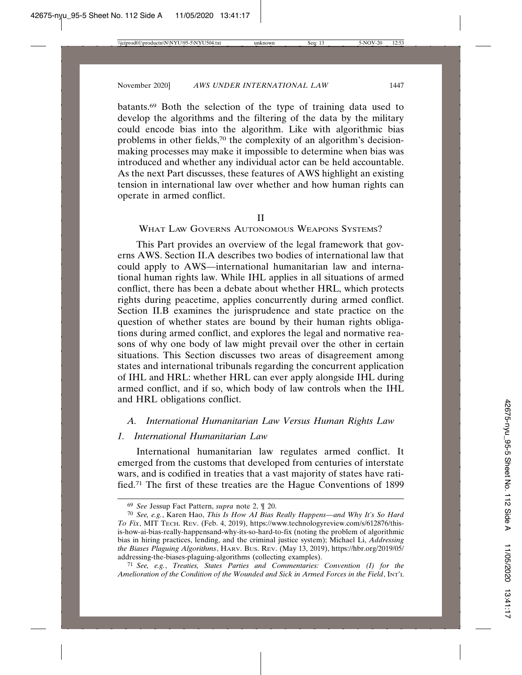batants.69 Both the selection of the type of training data used to develop the algorithms and the filtering of the data by the military could encode bias into the algorithm. Like with algorithmic bias problems in other fields,70 the complexity of an algorithm's decisionmaking processes may make it impossible to determine when bias was introduced and whether any individual actor can be held accountable. As the next Part discusses, these features of AWS highlight an existing tension in international law over whether and how human rights can operate in armed conflict.

#### II

# WHAT LAW GOVERNS AUTONOMOUS WEAPONS SYSTEMS?

This Part provides an overview of the legal framework that governs AWS. Section II.A describes two bodies of international law that could apply to AWS—international humanitarian law and international human rights law. While IHL applies in all situations of armed conflict, there has been a debate about whether HRL, which protects rights during peacetime, applies concurrently during armed conflict. Section II.B examines the jurisprudence and state practice on the question of whether states are bound by their human rights obligations during armed conflict, and explores the legal and normative reasons of why one body of law might prevail over the other in certain situations. This Section discusses two areas of disagreement among states and international tribunals regarding the concurrent application of IHL and HRL: whether HRL can ever apply alongside IHL during armed conflict, and if so, which body of law controls when the IHL and HRL obligations conflict.

#### *A. International Humanitarian Law Versus Human Rights Law*

### *1. International Humanitarian Law*

International humanitarian law regulates armed conflict. It emerged from the customs that developed from centuries of interstate wars, and is codified in treaties that a vast majority of states have ratified.71 The first of these treaties are the Hague Conventions of 1899

<sup>69</sup> *See* Jessup Fact Pattern, *supra* note 2, ¶ 20.

<sup>70</sup> *See, e.g.*, Karen Hao, *This Is How AI Bias Really Happens—and Why It's So Hard To Fix*, MIT TECH. REV. (Feb. 4, 2019), https://www.technologyreview.com/s/612876/thisis-how-ai-bias-really-happensand-why-its-so-hard-to-fix (noting the problem of algorithmic bias in hiring practices, lending, and the criminal justice system); Michael Li, *Addressing the Biases Plaguing Algorithms*, HARV. BUS. REV. (May 13, 2019), https://hbr.org/2019/05/ addressing-the-biases-plaguing-algorithms (collecting examples).

<sup>71</sup> *See, e.g.*, *Treaties, States Parties and Commentaries: Convention (I) for the Amelioration of the Condition of the Wounded and Sick in Armed Forces in the Field*, INT'L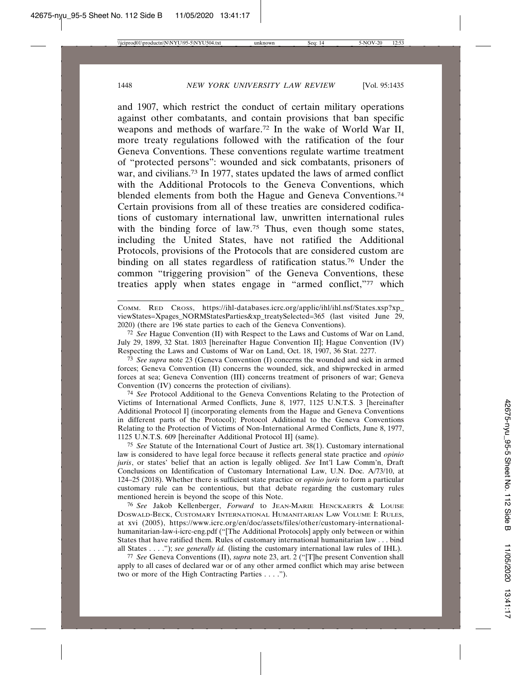and 1907, which restrict the conduct of certain military operations against other combatants, and contain provisions that ban specific weapons and methods of warfare.72 In the wake of World War II, more treaty regulations followed with the ratification of the four Geneva Conventions. These conventions regulate wartime treatment of "protected persons": wounded and sick combatants, prisoners of war, and civilians.73 In 1977, states updated the laws of armed conflict with the Additional Protocols to the Geneva Conventions, which blended elements from both the Hague and Geneva Conventions.74 Certain provisions from all of these treaties are considered codifications of customary international law, unwritten international rules with the binding force of law.<sup>75</sup> Thus, even though some states, including the United States, have not ratified the Additional Protocols, provisions of the Protocols that are considered custom are binding on all states regardless of ratification status.76 Under the common "triggering provision" of the Geneva Conventions, these treaties apply when states engage in "armed conflict,"77 which

COMM. RED CROSS, https://ihl-databases.icrc.org/applic/ihl/ihl.nsf/States.xsp?xp\_ viewStates=Xpages\_NORMStatesParties&xp\_treatySelected=365 (last visited June 29, 2020) (there are 196 state parties to each of the Geneva Conventions).

72 *See* Hague Convention (II) with Respect to the Laws and Customs of War on Land, July 29, 1899, 32 Stat. 1803 [hereinafter Hague Convention II]; Hague Convention (IV) Respecting the Laws and Customs of War on Land, Oct. 18, 1907, 36 Stat. 2277.

73 *See supra* note 23 (Geneva Convention (I) concerns the wounded and sick in armed forces; Geneva Convention (II) concerns the wounded, sick, and shipwrecked in armed forces at sea; Geneva Convention (III) concerns treatment of prisoners of war; Geneva Convention (IV) concerns the protection of civilians).

74 *See* Protocol Additional to the Geneva Conventions Relating to the Protection of Victims of International Armed Conflicts, June 8, 1977, 1125 U.N.T.S. 3 [hereinafter Additional Protocol I] (incorporating elements from the Hague and Geneva Conventions in different parts of the Protocol); Protocol Additional to the Geneva Conventions Relating to the Protection of Victims of Non-International Armed Conflicts, June 8, 1977, 1125 U.N.T.S. 609 [hereinafter Additional Protocol II] (same).

75 *See* Statute of the International Court of Justice art. 38(1). Customary international law is considered to have legal force because it reflects general state practice and *opinio juris*, or states' belief that an action is legally obliged. *See* Int'l Law Comm'n, Draft Conclusions on Identification of Customary International Law, U.N. Doc. A/73/10, at 124–25 (2018). Whether there is sufficient state practice or *opinio juris* to form a particular customary rule can be contentious, but that debate regarding the customary rules mentioned herein is beyond the scope of this Note.

76 *See* Jakob Kellenberger, *Forward* to JEAN-MARIE HENCKAERTS & LOUISE DOSWALD-BECK, CUSTOMARY INTERNATIONAL HUMANITARIAN LAW VOLUME I: RULES, at xvi (2005), https://www.icrc.org/en/doc/assets/files/other/customary-internationalhumanitarian-law-i-icrc-eng.pdf ("[The Additional Protocols] apply only between or within States that have ratified them. Rules of customary international humanitarian law . . . bind all States . . . ."); *see generally id.* (listing the customary international law rules of IHL).

77 *See* Geneva Conventions (II), *supra* note 23, art. 2 ("[T]he present Convention shall apply to all cases of declared war or of any other armed conflict which may arise between two or more of the High Contracting Parties . . . .").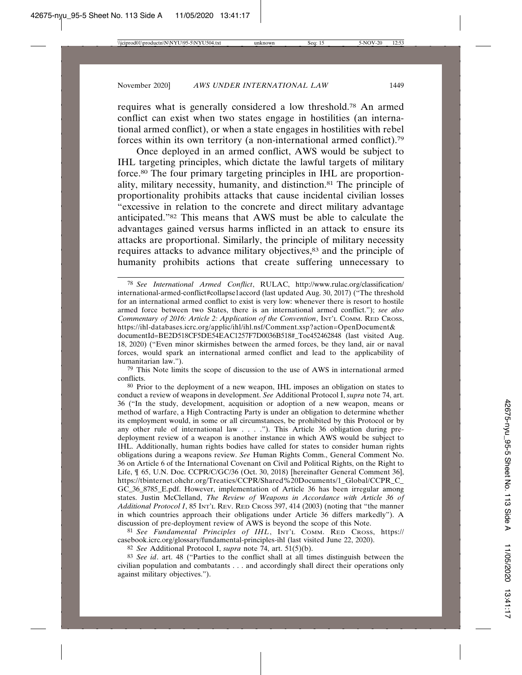requires what is generally considered a low threshold.78 An armed conflict can exist when two states engage in hostilities (an international armed conflict), or when a state engages in hostilities with rebel forces within its own territory (a non-international armed conflict).79

Once deployed in an armed conflict, AWS would be subject to IHL targeting principles, which dictate the lawful targets of military force.80 The four primary targeting principles in IHL are proportionality, military necessity, humanity, and distinction.81 The principle of proportionality prohibits attacks that cause incidental civilian losses "excessive in relation to the concrete and direct military advantage anticipated."82 This means that AWS must be able to calculate the advantages gained versus harms inflicted in an attack to ensure its attacks are proportional. Similarly, the principle of military necessity requires attacks to advance military objectives,<sup>83</sup> and the principle of humanity prohibits actions that create suffering unnecessary to

79 This Note limits the scope of discussion to the use of AWS in international armed conflicts.

80 Prior to the deployment of a new weapon, IHL imposes an obligation on states to conduct a review of weapons in development. *See* Additional Protocol I, *supra* note 74, art. 36 ("In the study, development, acquisition or adoption of a new weapon, means or method of warfare, a High Contracting Party is under an obligation to determine whether its employment would, in some or all circumstances, be prohibited by this Protocol or by any other rule of international law . . . ."). This Article 36 obligation during predeployment review of a weapon is another instance in which AWS would be subject to IHL. Additionally, human rights bodies have called for states to consider human rights obligations during a weapons review. *See* Human Rights Comm., General Comment No. 36 on Article 6 of the International Covenant on Civil and Political Rights, on the Right to Life, ¶ 65, U.N. Doc. CCPR/C/GC/36 (Oct. 30, 2018) [hereinafter General Comment 36], https://tbinternet.ohchr.org/Treaties/CCPR/Shared%20Documents/1\_Global/CCPR\_C\_ GC\_36\_8785\_E.pdf. However, implementation of Article 36 has been irregular among states. Justin McClelland, *The Review of Weapons in Accordance with Article 36 of Additional Protocol I*, 85 INT'L REV. RED CROSS 397, 414 (2003) (noting that "the manner in which countries approach their obligations under Article 36 differs markedly"). A discussion of pre-deployment review of AWS is beyond the scope of this Note.

81 *See Fundamental Principles of IHL*, INT'L COMM. RED CROSS, https:// casebook.icrc.org/glossary/fundamental-principles-ihl (last visited June 22, 2020).

82 *See* Additional Protocol I, *supra* note 74, art. 51(5)(b).

83 *See id*. art. 48 ("Parties to the conflict shall at all times distinguish between the civilian population and combatants . . . and accordingly shall direct their operations only against military objectives.").

<sup>78</sup> *See International Armed Conflict*, RULAC, http://www.rulac.org/classification/ international-armed-conflict#collapse1accord (last updated Aug. 30, 2017) ("The threshold for an international armed conflict to exist is very low: whenever there is resort to hostile armed force between two States, there is an international armed conflict."); *see also Commentary of 2016: Article 2: Application of the Convention*, INT'L COMM. RED CROSS, https://ihl-databases.icrc.org/applic/ihl/ihl.nsf/Comment.xsp?action=OpenDocument&

documentId=BE2D518CF5DE54EAC1257F7D0036B518#\_Toc452462848 (last visited Aug. 18, 2020) ("Even minor skirmishes between the armed forces, be they land, air or naval forces, would spark an international armed conflict and lead to the applicability of humanitarian law.").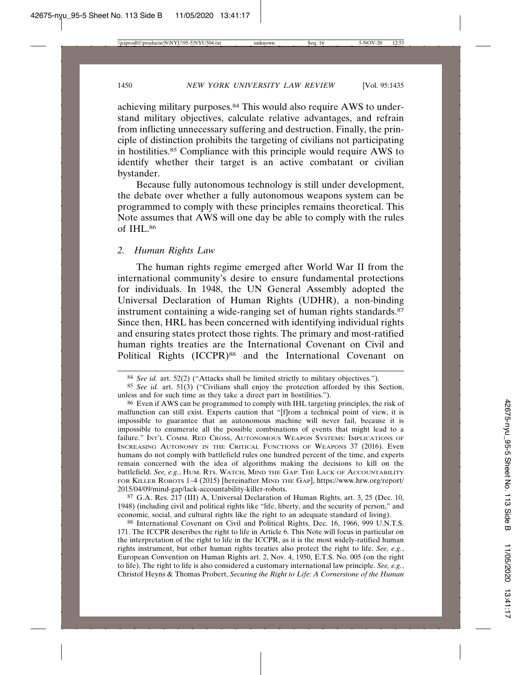achieving military purposes.84 This would also require AWS to understand military objectives, calculate relative advantages, and refrain from inflicting unnecessary suffering and destruction. Finally, the principle of distinction prohibits the targeting of civilians not participating in hostilities.85 Compliance with this principle would require AWS to identify whether their target is an active combatant or civilian bystander.

Because fully autonomous technology is still under development, the debate over whether a fully autonomous weapons system can be programmed to comply with these principles remains theoretical. This Note assumes that AWS will one day be able to comply with the rules of IHL.86

#### *2. Human Rights Law*

The human rights regime emerged after World War II from the international community's desire to ensure fundamental protections for individuals. In 1948, the UN General Assembly adopted the Universal Declaration of Human Rights (UDHR), a non-binding instrument containing a wide-ranging set of human rights standards.<sup>87</sup> Since then, HRL has been concerned with identifying individual rights and ensuring states protect those rights. The primary and most-ratified human rights treaties are the International Covenant on Civil and Political Rights (ICCPR)<sup>88</sup> and the International Covenant on

87 G.A. Res. 217 (III) A, Universal Declaration of Human Rights, art. 3, 25 (Dec. 10, 1948) (including civil and political rights like "life, liberty, and the security of person," and economic, social, and cultural rights like the right to an adequate standard of living).

88 International Covenant on Civil and Political Rights, Dec. 16, 1966, 999 U.N.T.S. 171. The ICCPR describes the right to life in Article 6. This Note will focus in particular on the interpretation of the right to life in the ICCPR, as it is the most widely-ratified human rights instrument, but other human rights treaties also protect the right to life. *See, e.g.*, European Convention on Human Rights art. 2, Nov. 4, 1950, E.T.S. No. 005 (on the right to life). The right to life is also considered a customary international law principle. *See, e.g.*, Christof Heyns & Thomas Probert, *Securing the Right to Life: A Cornerstone of the Human*

<sup>84</sup> *See id.* art. 52(2) ("Attacks shall be limited strictly to military objectives.").

<sup>85</sup> *See id.* art. 51(3) ("Civilians shall enjoy the protection afforded by this Section, unless and for such time as they take a direct part in hostilities.").

<sup>86</sup> Even if AWS can be programmed to comply with IHL targeting principles, the risk of malfunction can still exist. Experts caution that "[f]rom a technical point of view, it is impossible to guarantee that an autonomous machine will never fail, because it is impossible to enumerate all the possible combinations of events that might lead to a failure." INT'L COMM. RED CROSS, AUTONOMOUS WEAPON SYSTEMS: IMPLICATIONS OF INCREASING AUTONOMY IN THE CRITICAL FUNCTIONS OF WEAPONS 37 (2016). Even humans do not comply with battlefield rules one hundred percent of the time, and experts remain concerned with the idea of algorithms making the decisions to kill on the battlefield. *See, e.g.*, HUM. RTS. WATCH, MIND THE GAP: THE LACK OF ACCOUNTABILITY FOR KILLER ROBOTS 1–4 (2015) [hereinafter MIND THE GAP], https://www.hrw.org/report/ 2015/04/09/mind-gap/lack-accountability-killer-robots.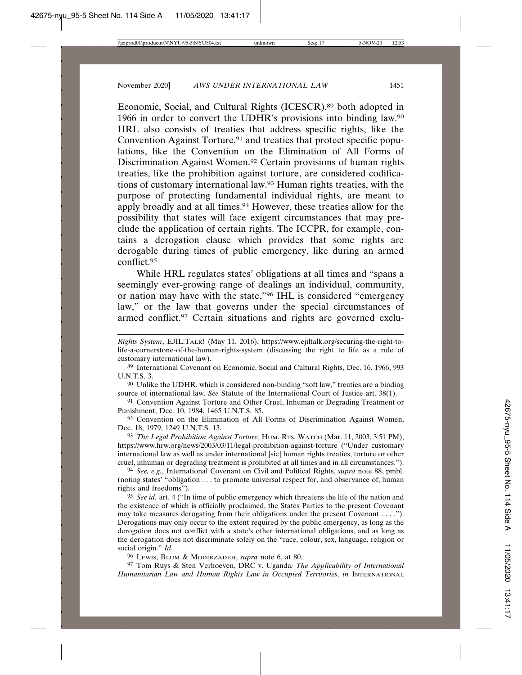Economic, Social, and Cultural Rights (ICESCR),<sup>89</sup> both adopted in 1966 in order to convert the UDHR's provisions into binding law.90 HRL also consists of treaties that address specific rights, like the Convention Against Torture,<sup>91</sup> and treaties that protect specific populations, like the Convention on the Elimination of All Forms of Discrimination Against Women.92 Certain provisions of human rights treaties, like the prohibition against torture, are considered codifications of customary international law.93 Human rights treaties, with the purpose of protecting fundamental individual rights, are meant to apply broadly and at all times.<sup>94</sup> However, these treaties allow for the possibility that states will face exigent circumstances that may preclude the application of certain rights. The ICCPR, for example, contains a derogation clause which provides that some rights are derogable during times of public emergency, like during an armed conflict.95

While HRL regulates states' obligations at all times and "spans a seemingly ever-growing range of dealings an individual, community, or nation may have with the state,"96 IHL is considered "emergency law," or the law that governs under the special circumstances of armed conflict.97 Certain situations and rights are governed exclu-

89 International Covenant on Economic, Social and Cultural Rights, Dec. 16, 1966, 993 U.N.T.S. 3.

90 Unlike the UDHR, which is considered non-binding "soft law," treaties are a binding source of international law. *See* Statute of the International Court of Justice art. 38(1).

91 Convention Against Torture and Other Cruel, Inhuman or Degrading Treatment or Punishment, Dec. 10, 1984, 1465 U.N.T.S. 85.

92 Convention on the Elimination of All Forms of Discrimination Against Women, Dec. 18, 1979, 1249 U.N.T.S. 13.

93 *The Legal Prohibition Against Torture*, HUM. RTS. WATCH (Mar. 11, 2003, 3:51 PM), https://www.hrw.org/news/2003/03/11/legal-prohibition-against-torture ("Under customary international law as well as under international [sic] human rights treaties, torture or other cruel, inhuman or degrading treatment is prohibited at all times and in all circumstances.").

94 *See, e.g.*, International Covenant on Civil and Political Rights, *supra* note 88, pmbl. (noting states' "obligation . . . to promote universal respect for, and observance of, human rights and freedoms").

95 *See id.* art. 4 ("In time of public emergency which threatens the life of the nation and the existence of which is officially proclaimed, the States Parties to the present Covenant may take measures derogating from their obligations under the present Covenant . . . ."). Derogations may only occur to the extent required by the public emergency, as long as the derogation does not conflict with a state's other international obligations, and as long as the derogation does not discriminate solely on the "race, colour, sex, language, religion or social origin." *Id.*

96 LEWIS, BLUM & MODIRZADEH, *supra* note 6, at 80.

97 Tom Ruys & Sten Verhoeven, DRC v. Uganda*: The Applicability of International Humanitarian Law and Human Rights Law in Occupied Territories*, *in* INTERNATIONAL

*Rights System*, EJIL:TALK! (May 11, 2016), https://www.ejiltalk.org/securing-the-right-tolife-a-cornerstone-of-the-human-rights-system (discussing the right to life as a rule of customary international law).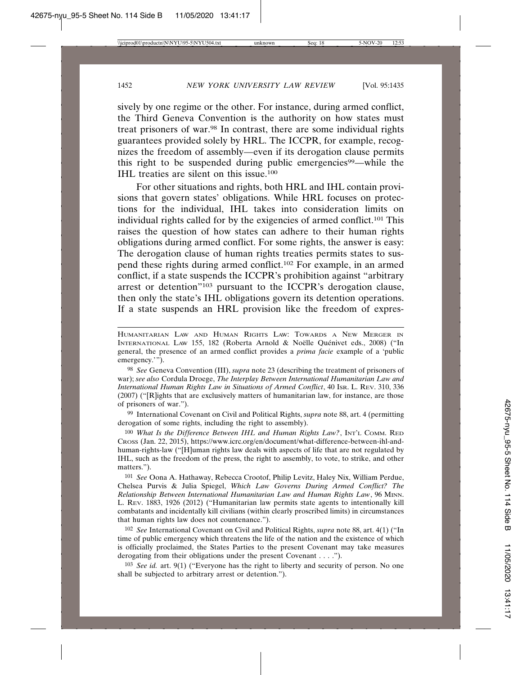sively by one regime or the other. For instance, during armed conflict, the Third Geneva Convention is the authority on how states must treat prisoners of war.98 In contrast, there are some individual rights guarantees provided solely by HRL. The ICCPR, for example, recognizes the freedom of assembly—even if its derogation clause permits this right to be suspended during public emergencies<sup>99</sup>—while the IHL treaties are silent on this issue.100

For other situations and rights, both HRL and IHL contain provisions that govern states' obligations. While HRL focuses on protections for the individual, IHL takes into consideration limits on individual rights called for by the exigencies of armed conflict.101 This raises the question of how states can adhere to their human rights obligations during armed conflict. For some rights, the answer is easy: The derogation clause of human rights treaties permits states to suspend these rights during armed conflict.102 For example, in an armed conflict, if a state suspends the ICCPR's prohibition against "arbitrary arrest or detention"103 pursuant to the ICCPR's derogation clause, then only the state's IHL obligations govern its detention operations. If a state suspends an HRL provision like the freedom of expres-

99 International Covenant on Civil and Political Rights, *supra* note 88, art. 4 (permitting derogation of some rights, including the right to assembly).

100 *What Is the Difference Between IHL and Human Rights Law?*, INT'L COMM. RED CROSS (Jan. 22, 2015), https://www.icrc.org/en/document/what-difference-between-ihl-andhuman-rights-law ("[H]uman rights law deals with aspects of life that are not regulated by IHL, such as the freedom of the press, the right to assembly, to vote, to strike, and other matters.").

101 *See* Oona A. Hathaway, Rebecca Crootof, Philip Levitz, Haley Nix, William Perdue, Chelsea Purvis & Julia Spiegel, *Which Law Governs During Armed Conflict? The Relationship Between International Humanitarian Law and Human Rights Law*, 96 MINN. L. REV. 1883, 1926 (2012) ("Humanitarian law permits state agents to intentionally kill combatants and incidentally kill civilians (within clearly proscribed limits) in circumstances that human rights law does not countenance.").

102 *See* International Covenant on Civil and Political Rights, *supra* note 88, art. 4(1) ("In time of public emergency which threatens the life of the nation and the existence of which is officially proclaimed, the States Parties to the present Covenant may take measures derogating from their obligations under the present Covenant . . . .").

103 *See id.* art. 9(1) ("Everyone has the right to liberty and security of person. No one shall be subjected to arbitrary arrest or detention.").

HUMANITARIAN LAW AND HUMAN RIGHTS LAW: TOWARDS A NEW MERGER IN INTERNATIONAL LAW 155, 182 (Roberta Arnold & Noëlle Quénivet eds., 2008) ("In general, the presence of an armed conflict provides a *prima facie* example of a 'public emergency.'").

<sup>98</sup> *See* Geneva Convention (III), *supra* note 23 (describing the treatment of prisoners of war); *see also* Cordula Droege, *The Interplay Between International Humanitarian Law and International Human Rights Law in Situations of Armed Conflict*, 40 ISR. L. REV. 310, 336 (2007) ("[R]ights that are exclusively matters of humanitarian law, for instance, are those of prisoners of war.").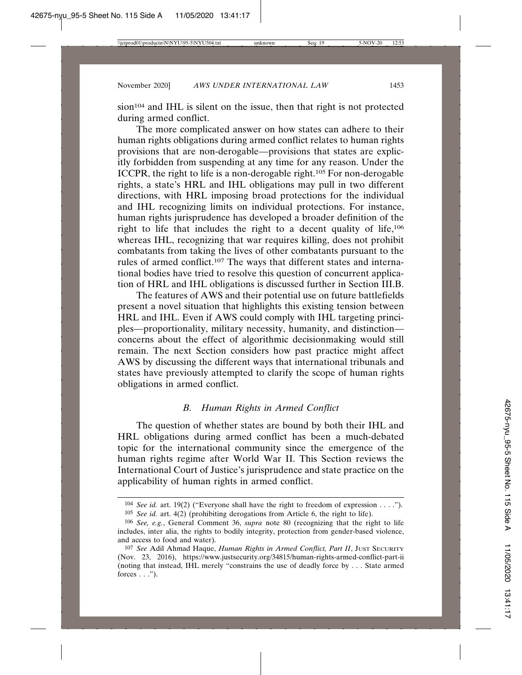sion<sup>104</sup> and IHL is silent on the issue, then that right is not protected during armed conflict.

The more complicated answer on how states can adhere to their human rights obligations during armed conflict relates to human rights provisions that are non-derogable—provisions that states are explicitly forbidden from suspending at any time for any reason. Under the ICCPR, the right to life is a non-derogable right.105 For non-derogable rights, a state's HRL and IHL obligations may pull in two different directions, with HRL imposing broad protections for the individual and IHL recognizing limits on individual protections. For instance, human rights jurisprudence has developed a broader definition of the right to life that includes the right to a decent quality of life,106 whereas IHL, recognizing that war requires killing, does not prohibit combatants from taking the lives of other combatants pursuant to the rules of armed conflict.107 The ways that different states and international bodies have tried to resolve this question of concurrent application of HRL and IHL obligations is discussed further in Section III.B.

The features of AWS and their potential use on future battlefields present a novel situation that highlights this existing tension between HRL and IHL. Even if AWS could comply with IHL targeting principles—proportionality, military necessity, humanity, and distinction concerns about the effect of algorithmic decisionmaking would still remain. The next Section considers how past practice might affect AWS by discussing the different ways that international tribunals and states have previously attempted to clarify the scope of human rights obligations in armed conflict.

## *B. Human Rights in Armed Conflict*

The question of whether states are bound by both their IHL and HRL obligations during armed conflict has been a much-debated topic for the international community since the emergence of the human rights regime after World War II. This Section reviews the International Court of Justice's jurisprudence and state practice on the applicability of human rights in armed conflict.

<sup>104</sup> *See id.* art. 19(2) ("Everyone shall have the right to freedom of expression . . . .").

<sup>105</sup> *See id.* art. 4(2) (prohibiting derogations from Article 6, the right to life).

<sup>106</sup> *See, e.g.*, General Comment 36, *supra* note 80 (recognizing that the right to life includes, inter alia, the rights to bodily integrity, protection from gender-based violence, and access to food and water).

<sup>107</sup> *See* Adil Ahmad Haque, *Human Rights in Armed Conflict, Part II*, JUST SECURITY (Nov. 23, 2016), https://www.justsecurity.org/34815/human-rights-armed-conflict-part-ii (noting that instead, IHL merely "constrains the use of deadly force by . . . State armed forces  $\ldots$ ").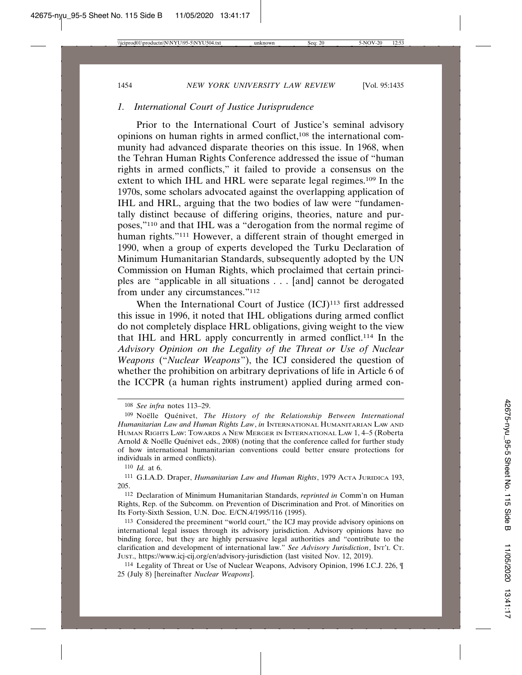# *1. International Court of Justice Jurisprudence*

Prior to the International Court of Justice's seminal advisory opinions on human rights in armed conflict,108 the international community had advanced disparate theories on this issue. In 1968, when the Tehran Human Rights Conference addressed the issue of "human rights in armed conflicts," it failed to provide a consensus on the extent to which IHL and HRL were separate legal regimes.109 In the 1970s, some scholars advocated against the overlapping application of IHL and HRL, arguing that the two bodies of law were "fundamentally distinct because of differing origins, theories, nature and purposes,"110 and that IHL was a "derogation from the normal regime of human rights."<sup>111</sup> However, a different strain of thought emerged in 1990, when a group of experts developed the Turku Declaration of Minimum Humanitarian Standards, subsequently adopted by the UN Commission on Human Rights, which proclaimed that certain principles are "applicable in all situations . . . [and] cannot be derogated from under any circumstances."112

When the International Court of Justice (ICJ)<sup>113</sup> first addressed this issue in 1996, it noted that IHL obligations during armed conflict do not completely displace HRL obligations, giving weight to the view that IHL and HRL apply concurrently in armed conflict.114 In the *Advisory Opinion on the Legality of the Threat or Use of Nuclear Weapons* ("*Nuclear Weapons*"), the ICJ considered the question of whether the prohibition on arbitrary deprivations of life in Article 6 of the ICCPR (a human rights instrument) applied during armed con-

<sup>108</sup> *See infra* notes 113–29.

<sup>&</sup>lt;sup>109</sup> Noëlle Quénivet, *The History of the Relationship Between International Humanitarian Law and Human Rights Law*, *in* INTERNATIONAL HUMANITARIAN LAW AND HUMAN RIGHTS LAW: TOWARDS A NEW MERGER IN INTERNATIONAL LAW 1, 4–5 (Roberta Arnold & Noëlle Quénivet eds., 2008) (noting that the conference called for further study of how international humanitarian conventions could better ensure protections for individuals in armed conflicts).

<sup>110</sup> *Id.* at 6.

<sup>111</sup> G.I.A.D. Draper, *Humanitarian Law and Human Rights*, 1979 ACTA JURIDICA 193, 205.

<sup>112</sup> Declaration of Minimum Humanitarian Standards, *reprinted in* Comm'n on Human Rights, Rep. of the Subcomm. on Prevention of Discrimination and Prot. of Minorities on Its Forty-Sixth Session, U.N. Doc. E/CN.4/1995/116 (1995).

<sup>113</sup> Considered the preeminent "world court," the ICJ may provide advisory opinions on international legal issues through its advisory jurisdiction. Advisory opinions have no binding force, but they are highly persuasive legal authorities and "contribute to the clarification and development of international law." *See Advisory Jurisdiction*, INT'L CT. JUST., https://www.icj-cij.org/en/advisory-jurisdiction (last visited Nov. 12, 2019).

<sup>114</sup> Legality of Threat or Use of Nuclear Weapons, Advisory Opinion, 1996 I.C.J. 226, ¶ 25 (July 8) [hereinafter *Nuclear Weapons*].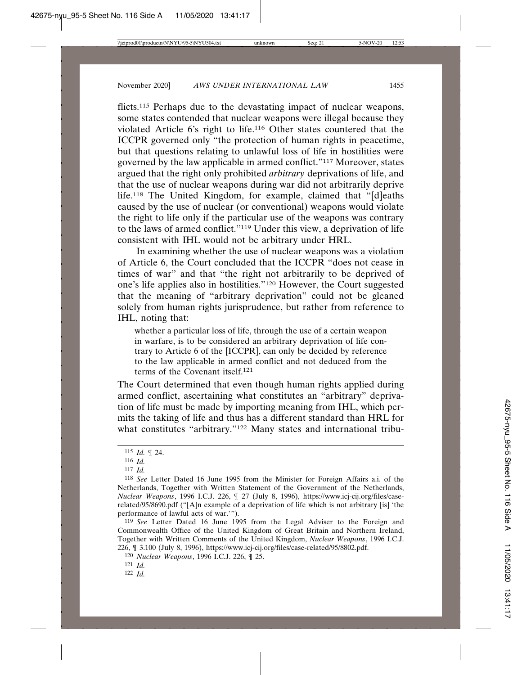flicts.<sup>115</sup> Perhaps due to the devastating impact of nuclear weapons, some states contended that nuclear weapons were illegal because they violated Article 6's right to life.116 Other states countered that the ICCPR governed only "the protection of human rights in peacetime, but that questions relating to unlawful loss of life in hostilities were governed by the law applicable in armed conflict."117 Moreover, states argued that the right only prohibited *arbitrary* deprivations of life, and that the use of nuclear weapons during war did not arbitrarily deprive life.118 The United Kingdom, for example, claimed that "[d]eaths caused by the use of nuclear (or conventional) weapons would violate the right to life only if the particular use of the weapons was contrary to the laws of armed conflict."119 Under this view, a deprivation of life consistent with IHL would not be arbitrary under HRL.

In examining whether the use of nuclear weapons was a violation of Article 6, the Court concluded that the ICCPR "does not cease in times of war" and that "the right not arbitrarily to be deprived of one's life applies also in hostilities."120 However, the Court suggested that the meaning of "arbitrary deprivation" could not be gleaned solely from human rights jurisprudence, but rather from reference to IHL, noting that:

whether a particular loss of life, through the use of a certain weapon in warfare, is to be considered an arbitrary deprivation of life contrary to Article 6 of the [ICCPR], can only be decided by reference to the law applicable in armed conflict and not deduced from the terms of the Covenant itself<sup>121</sup>

The Court determined that even though human rights applied during armed conflict, ascertaining what constitutes an "arbitrary" deprivation of life must be made by importing meaning from IHL, which permits the taking of life and thus has a different standard than HRL for what constitutes "arbitrary."<sup>122</sup> Many states and international tribu-

119 *See* Letter Dated 16 June 1995 from the Legal Adviser to the Foreign and Commonwealth Office of the United Kingdom of Great Britain and Northern Ireland, Together with Written Comments of the United Kingdom, *Nuclear Weapons*, 1996 I.C.J. 226, ¶ 3.100 (July 8, 1996), https://www.icj-cij.org/files/case-related/95/8802.pdf.

<sup>115</sup> *Id.* ¶ 24.

<sup>116</sup> *Id.*

<sup>117</sup> *Id.*

<sup>118</sup> *See* Letter Dated 16 June 1995 from the Minister for Foreign Affairs a.i. of the Netherlands, Together with Written Statement of the Government of the Netherlands, *Nuclear Weapons*, 1996 I.C.J. 226, ¶ 27 (July 8, 1996), https://www.icj-cij.org/files/caserelated/95/8690.pdf ("[A]n example of a deprivation of life which is not arbitrary [is] 'the performance of lawful acts of war.'").

<sup>120</sup> *Nuclear Weapons*, 1996 I.C.J. 226, ¶ 25.

<sup>121</sup> *Id.*

<sup>122</sup> *Id.*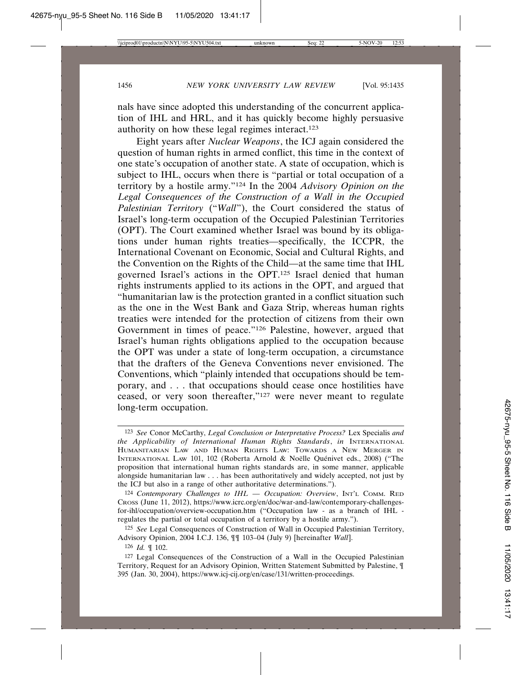nals have since adopted this understanding of the concurrent application of IHL and HRL, and it has quickly become highly persuasive authority on how these legal regimes interact.123

Eight years after *Nuclear Weapons*, the ICJ again considered the question of human rights in armed conflict, this time in the context of one state's occupation of another state. A state of occupation, which is subject to IHL, occurs when there is "partial or total occupation of a territory by a hostile army."124 In the 2004 *Advisory Opinion on the Legal Consequences of the Construction of a Wall in the Occupied Palestinian Territory* ("*Wall*"), the Court considered the status of Israel's long-term occupation of the Occupied Palestinian Territories (OPT). The Court examined whether Israel was bound by its obligations under human rights treaties—specifically, the ICCPR, the International Covenant on Economic, Social and Cultural Rights, and the Convention on the Rights of the Child—at the same time that IHL governed Israel's actions in the OPT.125 Israel denied that human rights instruments applied to its actions in the OPT, and argued that "humanitarian law is the protection granted in a conflict situation such as the one in the West Bank and Gaza Strip, whereas human rights treaties were intended for the protection of citizens from their own Government in times of peace."126 Palestine, however, argued that Israel's human rights obligations applied to the occupation because the OPT was under a state of long-term occupation, a circumstance that the drafters of the Geneva Conventions never envisioned. The Conventions, which "plainly intended that occupations should be temporary, and . . . that occupations should cease once hostilities have ceased, or very soon thereafter,"127 were never meant to regulate long-term occupation.

<sup>123</sup> *See* Conor McCarthy, *Legal Conclusion or Interpretative Process?* Lex Specialis *and the Applicability of International Human Rights Standards*, *in* INTERNATIONAL HUMANITARIAN LAW AND HUMAN RIGHTS LAW: TOWARDS A NEW MERGER IN INTERNATIONAL LAW 101, 102 (Roberta Arnold & Noëlle Quénivet eds., 2008) ("The proposition that international human rights standards are, in some manner, applicable alongside humanitarian law . . . has been authoritatively and widely accepted, not just by the ICJ but also in a range of other authoritative determinations.").

<sup>124</sup> *Contemporary Challenges to IHL — Occupation: Overview*, INT'L COMM. RED CROSS (June 11, 2012), https://www.icrc.org/en/doc/war-and-law/contemporary-challengesfor-ihl/occupation/overview-occupation.htm ("Occupation law - as a branch of IHL regulates the partial or total occupation of a territory by a hostile army.").

<sup>125</sup> *See* Legal Consequences of Construction of Wall in Occupied Palestinian Territory, Advisory Opinion, 2004 I.C.J. 136, ¶¶ 103–04 (July 9) [hereinafter *Wall*].

<sup>126</sup> *Id.* ¶ 102.

<sup>127</sup> Legal Consequences of the Construction of a Wall in the Occupied Palestinian Territory, Request for an Advisory Opinion, Written Statement Submitted by Palestine, ¶ 395 (Jan. 30, 2004), https://www.icj-cij.org/en/case/131/written-proceedings.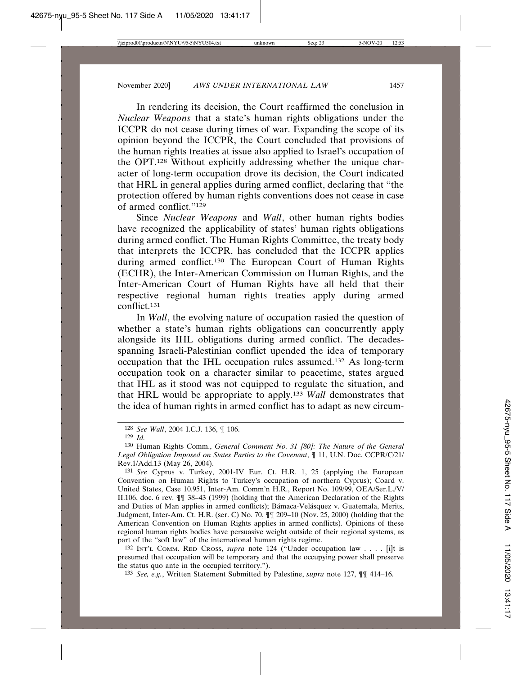In rendering its decision, the Court reaffirmed the conclusion in *Nuclear Weapons* that a state's human rights obligations under the ICCPR do not cease during times of war. Expanding the scope of its opinion beyond the ICCPR, the Court concluded that provisions of the human rights treaties at issue also applied to Israel's occupation of the OPT.128 Without explicitly addressing whether the unique character of long-term occupation drove its decision, the Court indicated that HRL in general applies during armed conflict, declaring that "the protection offered by human rights conventions does not cease in case of armed conflict."<sup>129</sup>

Since *Nuclear Weapons* and *Wall*, other human rights bodies have recognized the applicability of states' human rights obligations during armed conflict. The Human Rights Committee, the treaty body that interprets the ICCPR, has concluded that the ICCPR applies during armed conflict.130 The European Court of Human Rights (ECHR), the Inter-American Commission on Human Rights, and the Inter-American Court of Human Rights have all held that their respective regional human rights treaties apply during armed conflict.131

In *Wall*, the evolving nature of occupation rasied the question of whether a state's human rights obligations can concurrently apply alongside its IHL obligations during armed conflict. The decadesspanning Israeli-Palestinian conflict upended the idea of temporary occupation that the IHL occupation rules assumed.132 As long-term occupation took on a character similar to peacetime, states argued that IHL as it stood was not equipped to regulate the situation, and that HRL would be appropriate to apply.133 *Wall* demonstrates that the idea of human rights in armed conflict has to adapt as new circum-

132 INT'L COMM. RED CROSS, *supra* note 124 ("Under occupation law . . . . [i]t is presumed that occupation will be temporary and that the occupying power shall preserve the status quo ante in the occupied territory.").

133 *See, e.g.*, Written Statement Submitted by Palestine, *supra* note 127, ¶¶ 414–16.

<sup>128</sup> *See Wall*, 2004 I.C.J. 136, ¶ 106.

<sup>129</sup> *Id.*

<sup>130</sup> Human Rights Comm., *General Comment No. 31 [80]: The Nature of the General Legal Obligation Imposed on States Parties to the Covenant*, ¶ 11, U.N. Doc. CCPR/C/21/ Rev.1/Add.13 (May 26, 2004).

<sup>131</sup> *See* Cyprus v. Turkey, 2001-IV Eur. Ct. H.R. 1, 25 (applying the European Convention on Human Rights to Turkey's occupation of northern Cyprus); Coard v. United States, Case 10.951, Inter-Am. Comm'n H.R., Report No. 109/99, OEA/Ser.L./V/ II.106, doc. 6 rev. ¶¶ 38–43 (1999) (holding that the American Declaration of the Rights and Duties of Man applies in armed conflicts); Bámaca-Velásquez v. Guatemala, Merits, Judgment, Inter-Am. Ct. H.R. (ser. C) No. 70, ¶¶ 209–10 (Nov. 25, 2000) (holding that the American Convention on Human Rights applies in armed conflicts). Opinions of these regional human rights bodies have persuasive weight outside of their regional systems, as part of the "soft law" of the international human rights regime.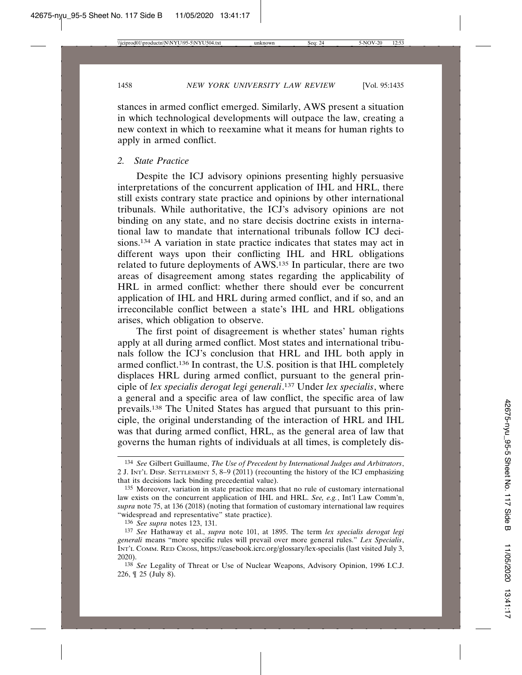stances in armed conflict emerged. Similarly, AWS present a situation in which technological developments will outpace the law, creating a new context in which to reexamine what it means for human rights to apply in armed conflict.

#### *2. State Practice*

Despite the ICJ advisory opinions presenting highly persuasive interpretations of the concurrent application of IHL and HRL, there still exists contrary state practice and opinions by other international tribunals. While authoritative, the ICJ's advisory opinions are not binding on any state, and no stare decisis doctrine exists in international law to mandate that international tribunals follow ICJ decisions.134 A variation in state practice indicates that states may act in different ways upon their conflicting IHL and HRL obligations related to future deployments of AWS.135 In particular, there are two areas of disagreement among states regarding the applicability of HRL in armed conflict: whether there should ever be concurrent application of IHL and HRL during armed conflict, and if so, and an irreconcilable conflict between a state's IHL and HRL obligations arises, which obligation to observe.

The first point of disagreement is whether states' human rights apply at all during armed conflict. Most states and international tribunals follow the ICJ's conclusion that HRL and IHL both apply in armed conflict.136 In contrast, the U.S. position is that IHL completely displaces HRL during armed conflict, pursuant to the general principle of *lex specialis derogat legi generali*. 137 Under *lex specialis*, where a general and a specific area of law conflict, the specific area of law prevails.138 The United States has argued that pursuant to this principle, the original understanding of the interaction of HRL and IHL was that during armed conflict, HRL, as the general area of law that governs the human rights of individuals at all times, is completely dis-

<sup>134</sup> *See* Gilbert Guillaume, *The Use of Precedent by International Judges and Arbitrators*, 2 J. INT'L DISP. SETTLEMENT 5, 8–9 (2011) (recounting the history of the ICJ emphasizing that its decisions lack binding precedential value).

<sup>135</sup> Moreover, variation in state practice means that no rule of customary international law exists on the concurrent application of IHL and HRL. *See, e.g.*, Int'l Law Comm'n, *supra* note 75, at 136 (2018) (noting that formation of customary international law requires "widespread and representative" state practice).

<sup>136</sup> *See supra* notes 123, 131.

<sup>137</sup> *See* Hathaway et al., *supra* note 101, at 1895. The term *lex specialis derogat legi generali* means "more specific rules will prevail over more general rules." *Lex Specialis*, INT'L COMM. RED CROSS, https://casebook.icrc.org/glossary/lex-specialis (last visited July 3, 2020).

<sup>138</sup> *See* Legality of Threat or Use of Nuclear Weapons, Advisory Opinion, 1996 I.C.J. 226, ¶ 25 (July 8).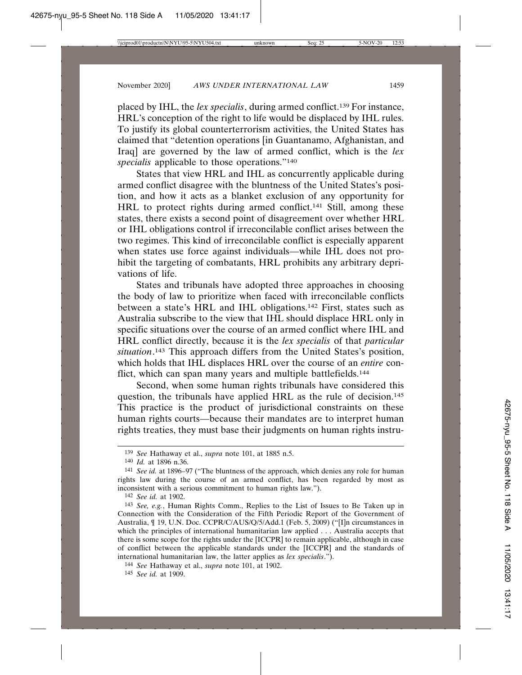placed by IHL, the *lex specialis*, during armed conflict.139 For instance, HRL's conception of the right to life would be displaced by IHL rules. To justify its global counterterrorism activities, the United States has claimed that "detention operations [in Guantanamo, Afghanistan, and Iraq] are governed by the law of armed conflict, which is the *lex specialis* applicable to those operations."140

States that view HRL and IHL as concurrently applicable during armed conflict disagree with the bluntness of the United States's position, and how it acts as a blanket exclusion of any opportunity for HRL to protect rights during armed conflict.<sup>141</sup> Still, among these states, there exists a second point of disagreement over whether HRL or IHL obligations control if irreconcilable conflict arises between the two regimes. This kind of irreconcilable conflict is especially apparent when states use force against individuals—while IHL does not prohibit the targeting of combatants, HRL prohibits any arbitrary deprivations of life.

States and tribunals have adopted three approaches in choosing the body of law to prioritize when faced with irreconcilable conflicts between a state's HRL and IHL obligations.142 First, states such as Australia subscribe to the view that IHL should displace HRL only in specific situations over the course of an armed conflict where IHL and HRL conflict directly, because it is the *lex specialis* of that *particular situation*. 143 This approach differs from the United States's position, which holds that IHL displaces HRL over the course of an *entire* conflict, which can span many years and multiple battlefields.<sup>144</sup>

Second, when some human rights tribunals have considered this question, the tribunals have applied HRL as the rule of decision.145 This practice is the product of jurisdictional constraints on these human rights courts—because their mandates are to interpret human rights treaties, they must base their judgments on human rights instru-

<sup>139</sup> *See* Hathaway et al., *supra* note 101, at 1885 n.5.

<sup>140</sup> *Id.* at 1896 n.36.

<sup>141</sup> *See id.* at 1896–97 ("The bluntness of the approach, which denies any role for human rights law during the course of an armed conflict, has been regarded by most as inconsistent with a serious commitment to human rights law.").

<sup>142</sup> *See id.* at 1902.

<sup>143</sup> *See, e.g.*, Human Rights Comm., Replies to the List of Issues to Be Taken up in Connection with the Consideration of the Fifth Periodic Report of the Government of Australia, ¶ 19, U.N. Doc. CCPR/C/AUS/Q/5/Add.1 (Feb. 5, 2009) ("[I]n circumstances in which the principles of international humanitarian law applied . . . Australia accepts that there is some scope for the rights under the [ICCPR] to remain applicable, although in case of conflict between the applicable standards under the [ICCPR] and the standards of international humanitarian law, the latter applies as *lex specialis*.").

<sup>144</sup> *See* Hathaway et al., *supra* note 101, at 1902.

<sup>145</sup> *See id.* at 1909.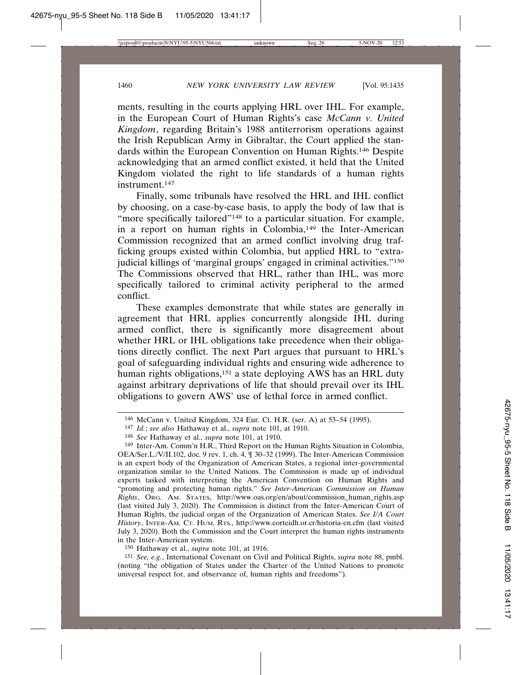ments, resulting in the courts applying HRL over IHL. For example, in the European Court of Human Rights's case *McCann v. United Kingdom*, regarding Britain's 1988 antiterrorism operations against the Irish Republican Army in Gibraltar, the Court applied the standards within the European Convention on Human Rights.146 Despite acknowledging that an armed conflict existed, it held that the United Kingdom violated the right to life standards of a human rights instrument.147

Finally, some tribunals have resolved the HRL and IHL conflict by choosing, on a case-by-case basis, to apply the body of law that is "more specifically tailored"<sup>148</sup> to a particular situation. For example, in a report on human rights in Colombia,149 the Inter-American Commission recognized that an armed conflict involving drug trafficking groups existed within Colombia, but applied HRL to "extrajudicial killings of 'marginal groups' engaged in criminal activities."150 The Commissions observed that HRL, rather than IHL, was more specifically tailored to criminal activity peripheral to the armed conflict.

These examples demonstrate that while states are generally in agreement that HRL applies concurrently alongside IHL during armed conflict, there is significantly more disagreement about whether HRL or IHL obligations take precedence when their obligations directly conflict. The next Part argues that pursuant to HRL's goal of safeguarding individual rights and ensuring wide adherence to human rights obligations,<sup>151</sup> a state deploying AWS has an HRL duty against arbitrary deprivations of life that should prevail over its IHL obligations to govern AWS' use of lethal force in armed conflict.

150 Hathaway et al., *supra* note 101, at 1916.

151 *See, e.g.*, International Covenant on Civil and Political Rights, *supra* note 88, pmbl. (noting "the obligation of States under the Charter of the United Nations to promote universal respect for, and observance of, human rights and freedoms").

<sup>146</sup> McCann v. United Kingdom, 324 Eur. Ct. H.R. (ser. A) at 53–54 (1995).

<sup>147</sup> *Id.*; *see also* Hathaway et al., *supra* note 101, at 1910.

<sup>148</sup> *See* Hathaway et al., *supra* note 101, at 1910.

<sup>149</sup> Inter-Am. Comm'n H.R., Third Report on the Human Rights Situation in Colombia, OEA/Ser.L./V/II.102, doc. 9 rev. 1, ch. 4, ¶ 30–32 (1999). The Inter-American Commission is an expert body of the Organization of American States, a regional inter-governmental organization similar to the United Nations. The Commission is made up of individual experts tasked with interpreting the American Convention on Human Rights and "promoting and protecting human rights." *See Inter-American Commission on Human Rights*, ORG. AM. STATES, http://www.oas.org/en/about/commission\_human\_rights.asp (last visited July 3, 2020). The Commission is distinct from the Inter-American Court of Human Rights, the judicial organ of the Organization of American States. *See I/A Court History*, INTER-AM. CT. HUM. RTS., http://www.corteidh.or.cr/historia-en.cfm (last visited July 3, 2020). Both the Commission and the Court interpret the human rights instruments in the Inter-American system.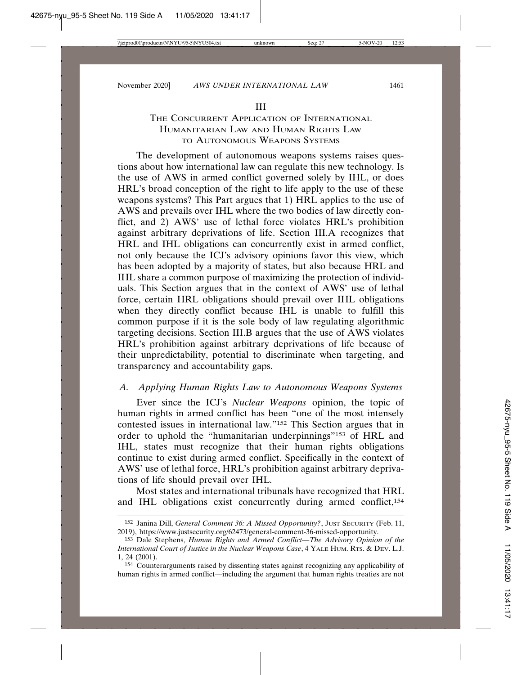# THE CONCURRENT APPLICATION OF INTERNATIONAL HUMANITARIAN LAW AND HUMAN RIGHTS LAW TO AUTONOMOUS WEAPONS SYSTEMS

The development of autonomous weapons systems raises questions about how international law can regulate this new technology. Is the use of AWS in armed conflict governed solely by IHL, or does HRL's broad conception of the right to life apply to the use of these weapons systems? This Part argues that 1) HRL applies to the use of AWS and prevails over IHL where the two bodies of law directly conflict, and 2) AWS' use of lethal force violates HRL's prohibition against arbitrary deprivations of life. Section III.A recognizes that HRL and IHL obligations can concurrently exist in armed conflict, not only because the ICJ's advisory opinions favor this view, which has been adopted by a majority of states, but also because HRL and IHL share a common purpose of maximizing the protection of individuals. This Section argues that in the context of AWS' use of lethal force, certain HRL obligations should prevail over IHL obligations when they directly conflict because IHL is unable to fulfill this common purpose if it is the sole body of law regulating algorithmic targeting decisions. Section III.B argues that the use of AWS violates HRL's prohibition against arbitrary deprivations of life because of their unpredictability, potential to discriminate when targeting, and transparency and accountability gaps.

# *A. Applying Human Rights Law to Autonomous Weapons Systems*

Ever since the ICJ's *Nuclear Weapons* opinion, the topic of human rights in armed conflict has been "one of the most intensely contested issues in international law."152 This Section argues that in order to uphold the "humanitarian underpinnings"153 of HRL and IHL, states must recognize that their human rights obligations continue to exist during armed conflict. Specifically in the context of AWS' use of lethal force, HRL's prohibition against arbitrary deprivations of life should prevail over IHL.

Most states and international tribunals have recognized that HRL and IHL obligations exist concurrently during armed conflict,<sup>154</sup>

<sup>152</sup> Janina Dill, *General Comment 36: A Missed Opportunity?*, JUST SECURITY (Feb. 11, 2019), https://www.justsecurity.org/62473/general-comment-36-missed-opportunity.

<sup>153</sup> Dale Stephens, *Human Rights and Armed Conflict—The Advisory Opinion of the International Court of Justice in the Nuclear Weapons Case*, 4 YALE HUM. RTS. & DEV. L.J. 1, 24 (2001).

<sup>154</sup> Counterarguments raised by dissenting states against recognizing any applicability of human rights in armed conflict—including the argument that human rights treaties are not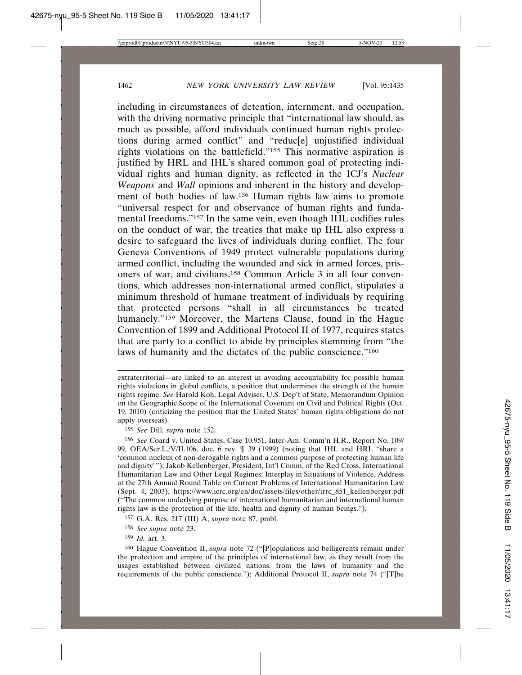including in circumstances of detention, internment, and occupation, with the driving normative principle that "international law should, as much as possible, afford individuals continued human rights protections during armed conflict" and "reduc[e] unjustified individual rights violations on the battlefield."155 This normative aspiration is justified by HRL and IHL's shared common goal of protecting individual rights and human dignity, as reflected in the ICJ's *Nuclear Weapons* and *Wall* opinions and inherent in the history and development of both bodies of law.156 Human rights law aims to promote "universal respect for and observance of human rights and fundamental freedoms."157 In the same vein, even though IHL codifies rules on the conduct of war, the treaties that make up IHL also express a desire to safeguard the lives of individuals during conflict. The four Geneva Conventions of 1949 protect vulnerable populations during armed conflict, including the wounded and sick in armed forces, prisoners of war, and civilians.158 Common Article 3 in all four conventions, which addresses non-international armed conflict, stipulates a minimum threshold of humane treatment of individuals by requiring that protected persons "shall in all circumstances be treated humanely."<sup>159</sup> Moreover, the Martens Clause, found in the Hague Convention of 1899 and Additional Protocol II of 1977, requires states that are party to a conflict to abide by principles stemming from "the laws of humanity and the dictates of the public conscience."<sup>160</sup>

extraterritorial—are linked to an interest in avoiding accountability for possible human rights violations in global conflicts, a position that undermines the strength of the human rights regime. *See* Harold Koh, Legal Adviser, U.S. Dep't of State, Memorandum Opinion on the Geographic Scope of the International Covenant on Civil and Political Rights (Oct. 19, 2010) (criticizing the position that the United States' human rights obligations do not apply overseas).

<sup>155</sup> *See* Dill, *supra* note 152.

<sup>156</sup> *See* Coard v. United States, Case 10.951, Inter-Am. Comm'n H.R., Report No. 109/ 99, OEA/Ser.L./V/II.106, doc. 6 rev. ¶ 39 (1999) (noting that IHL and HRL "share a 'common nucleus of non-derogable rights and a common purpose of protecting human life and dignity'"); Jakob Kellenberger, President, Int'l Comm. of the Red Cross, International Humanitarian Law and Other Legal Regimes: Interplay in Situations of Violence, Address at the 27th Annual Round Table on Current Problems of International Humanitarian Law (Sept. 4, 2003), https://www.icrc.org/en/doc/assets/files/other/irrc\_851\_kellenberger.pdf ("The common underlying purpose of international humanitarian and international human rights law is the protection of the life, health and dignity of human beings.").

<sup>157</sup> G.A. Res. 217 (III) A, *supra* note 87, pmbl.

<sup>158</sup> *See supra* note 23.

<sup>159</sup> *Id.* art. 3.

<sup>160</sup> Hague Convention II, *supra* note 72 ("[P]opulations and belligerents remain under the protection and empire of the principles of international law, as they result from the usages established between civilized nations, from the laws of humanity and the requirements of the public conscience."); Additional Protocol II, *supra* note 74 ("[T]he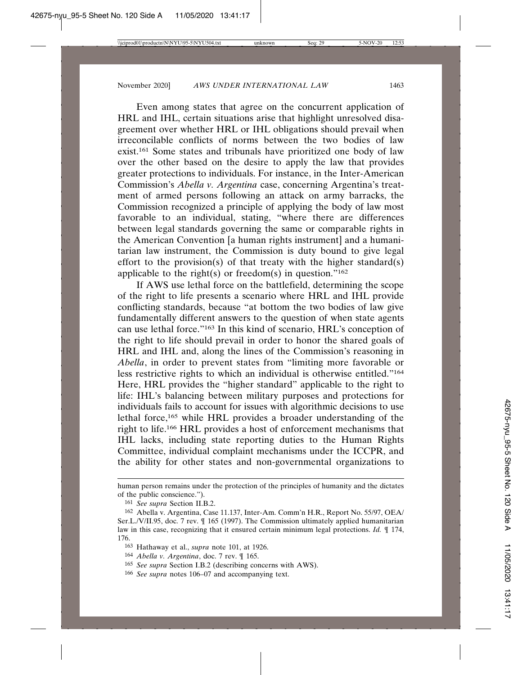Even among states that agree on the concurrent application of HRL and IHL, certain situations arise that highlight unresolved disagreement over whether HRL or IHL obligations should prevail when irreconcilable conflicts of norms between the two bodies of law exist.161 Some states and tribunals have prioritized one body of law over the other based on the desire to apply the law that provides greater protections to individuals. For instance, in the Inter-American Commission's *Abella v. Argentina* case, concerning Argentina's treatment of armed persons following an attack on army barracks, the Commission recognized a principle of applying the body of law most favorable to an individual, stating, "where there are differences between legal standards governing the same or comparable rights in the American Convention [a human rights instrument] and a humanitarian law instrument, the Commission is duty bound to give legal effort to the provision(s) of that treaty with the higher standard(s) applicable to the right(s) or freedom(s) in question."<sup>162</sup>

If AWS use lethal force on the battlefield, determining the scope of the right to life presents a scenario where HRL and IHL provide conflicting standards, because "at bottom the two bodies of law give fundamentally different answers to the question of when state agents can use lethal force."163 In this kind of scenario, HRL's conception of the right to life should prevail in order to honor the shared goals of HRL and IHL and, along the lines of the Commission's reasoning in *Abella*, in order to prevent states from "limiting more favorable or less restrictive rights to which an individual is otherwise entitled."164 Here, HRL provides the "higher standard" applicable to the right to life: IHL's balancing between military purposes and protections for individuals fails to account for issues with algorithmic decisions to use lethal force,165 while HRL provides a broader understanding of the right to life.166 HRL provides a host of enforcement mechanisms that IHL lacks, including state reporting duties to the Human Rights Committee, individual complaint mechanisms under the ICCPR, and the ability for other states and non-governmental organizations to

human person remains under the protection of the principles of humanity and the dictates of the public conscience.").

<sup>161</sup> *See supra* Section II.B.2.

<sup>162</sup> Abella v. Argentina, Case 11.137, Inter-Am. Comm'n H.R., Report No. 55/97, OEA/ Ser.L./V/II.95, doc. 7 rev. ¶ 165 (1997). The Commission ultimately applied humanitarian law in this case, recognizing that it ensured certain minimum legal protections. *Id.* ¶ 174, 176.

<sup>163</sup> Hathaway et al., *supra* note 101, at 1926.

<sup>164</sup> *Abella v. Argentina*, doc. 7 rev. ¶ 165.

<sup>165</sup> *See supra* Section I.B.2 (describing concerns with AWS).

<sup>166</sup> *See supra* notes 106–07 and accompanying text.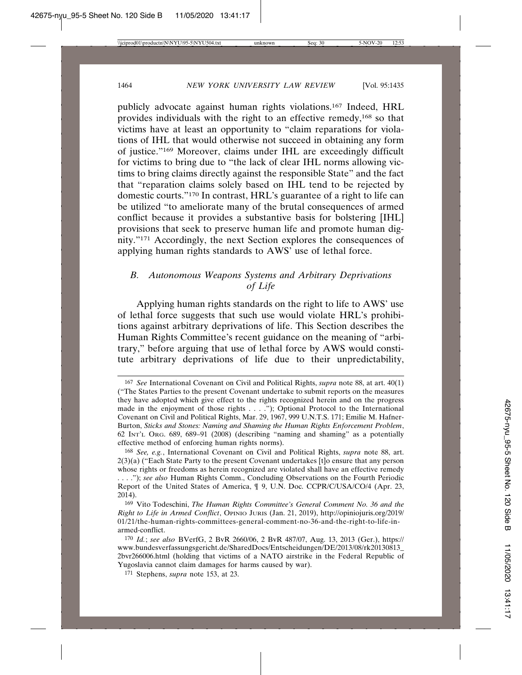publicly advocate against human rights violations.167 Indeed, HRL provides individuals with the right to an effective remedy,168 so that victims have at least an opportunity to "claim reparations for violations of IHL that would otherwise not succeed in obtaining any form of justice."169 Moreover, claims under IHL are exceedingly difficult for victims to bring due to "the lack of clear IHL norms allowing victims to bring claims directly against the responsible State" and the fact that "reparation claims solely based on IHL tend to be rejected by domestic courts."170 In contrast, HRL's guarantee of a right to life can be utilized "to ameliorate many of the brutal consequences of armed conflict because it provides a substantive basis for bolstering [IHL] provisions that seek to preserve human life and promote human dignity."171 Accordingly, the next Section explores the consequences of applying human rights standards to AWS' use of lethal force.

# *B. Autonomous Weapons Systems and Arbitrary Deprivations of Life*

Applying human rights standards on the right to life to AWS' use of lethal force suggests that such use would violate HRL's prohibitions against arbitrary deprivations of life. This Section describes the Human Rights Committee's recent guidance on the meaning of "arbitrary," before arguing that use of lethal force by AWS would constitute arbitrary deprivations of life due to their unpredictability,

<sup>167</sup> *See* International Covenant on Civil and Political Rights, *supra* note 88, at art. 40(1) ("The States Parties to the present Covenant undertake to submit reports on the measures they have adopted which give effect to the rights recognized herein and on the progress made in the enjoyment of those rights . . . ."); Optional Protocol to the International Covenant on Civil and Political Rights, Mar. 29, 1967, 999 U.N.T.S. 171; Emilie M. Hafner-Burton, *Sticks and Stones: Naming and Shaming the Human Rights Enforcement Problem*, 62 INT'L ORG. 689, 689–91 (2008) (describing "naming and shaming" as a potentially effective method of enforcing human rights norms).

<sup>168</sup> *See, e.g.*, International Covenant on Civil and Political Rights, *supra* note 88, art. 2(3)(a) ("Each State Party to the present Covenant undertakes [t]o ensure that any person whose rights or freedoms as herein recognized are violated shall have an effective remedy . . . ."); *see also* Human Rights Comm., Concluding Observations on the Fourth Periodic Report of the United States of America, ¶ 9, U.N. Doc. CCPR/C/USA/CO/4 (Apr. 23,

<sup>2014).</sup>

<sup>169</sup> Vito Todeschini, *The Human Rights Committee's General Comment No. 36 and the Right to Life in Armed Conflict*, OPINIO JURIS (Jan. 21, 2019), http://opiniojuris.org/2019/ 01/21/the-human-rights-committees-general-comment-no-36-and-the-right-to-life-inarmed-conflict.

<sup>170</sup> *Id.*; *see also* BVerfG, 2 BvR 2660/06, 2 BvR 487/07, Aug. 13, 2013 (Ger.), https:// www.bundesverfassungsgericht.de/SharedDocs/Entscheidungen/DE/2013/08/rk20130813\_ 2bvr266006.html (holding that victims of a NATO airstrike in the Federal Republic of Yugoslavia cannot claim damages for harms caused by war).

<sup>171</sup> Stephens, *supra* note 153, at 23.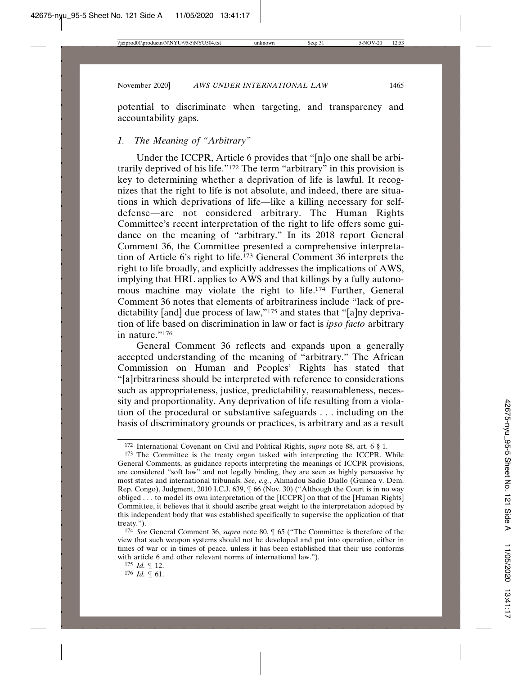potential to discriminate when targeting, and transparency and accountability gaps.

## *1. The Meaning of "Arbitrary"*

Under the ICCPR, Article 6 provides that "[n]o one shall be arbitrarily deprived of his life."172 The term "arbitrary" in this provision is key to determining whether a deprivation of life is lawful. It recognizes that the right to life is not absolute, and indeed, there are situations in which deprivations of life—like a killing necessary for selfdefense—are not considered arbitrary. The Human Rights Committee's recent interpretation of the right to life offers some guidance on the meaning of "arbitrary." In its 2018 report General Comment 36, the Committee presented a comprehensive interpretation of Article 6's right to life.173 General Comment 36 interprets the right to life broadly, and explicitly addresses the implications of AWS, implying that HRL applies to AWS and that killings by a fully autonomous machine may violate the right to life.<sup>174</sup> Further, General Comment 36 notes that elements of arbitrariness include "lack of predictability [and] due process of law,"175 and states that "[a]ny deprivation of life based on discrimination in law or fact is *ipso facto* arbitrary in nature."176

General Comment 36 reflects and expands upon a generally accepted understanding of the meaning of "arbitrary." The African Commission on Human and Peoples' Rights has stated that "[a]rbitrariness should be interpreted with reference to considerations such as appropriateness, justice, predictability, reasonableness, necessity and proportionality. Any deprivation of life resulting from a violation of the procedural or substantive safeguards . . . including on the basis of discriminatory grounds or practices, is arbitrary and as a result

176 *Id.* ¶ 61.

<sup>172</sup> International Covenant on Civil and Political Rights, *supra* note 88, art. 6 § 1.

<sup>173</sup> The Committee is the treaty organ tasked with interpreting the ICCPR. While General Comments, as guidance reports interpreting the meanings of ICCPR provisions, are considered "soft law" and not legally binding, they are seen as highly persuasive by most states and international tribunals. *See, e.g.*, Ahmadou Sadio Diallo (Guinea v. Dem. Rep. Congo), Judgment, 2010 I.C.J. 639, ¶ 66 (Nov. 30) ("Although the Court is in no way obliged . . . to model its own interpretation of the [ICCPR] on that of the [Human Rights] Committee, it believes that it should ascribe great weight to the interpretation adopted by this independent body that was established specifically to supervise the application of that treaty.").

<sup>174</sup> *See* General Comment 36, *supra* note 80, ¶ 65 ("The Committee is therefore of the view that such weapon systems should not be developed and put into operation, either in times of war or in times of peace, unless it has been established that their use conforms with article 6 and other relevant norms of international law.").

<sup>175</sup> *Id.* ¶ 12.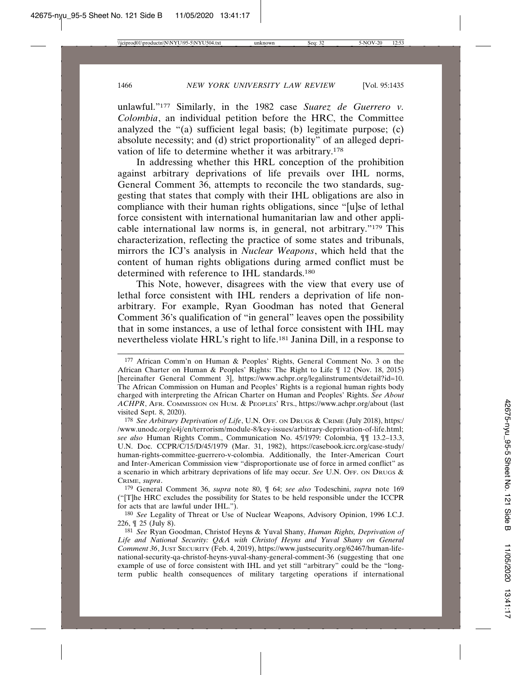unlawful."177 Similarly, in the 1982 case *Suarez de Guerrero v. Colombia*, an individual petition before the HRC, the Committee analyzed the "(a) sufficient legal basis; (b) legitimate purpose; (c) absolute necessity; and (d) strict proportionality" of an alleged deprivation of life to determine whether it was arbitrary.178

In addressing whether this HRL conception of the prohibition against arbitrary deprivations of life prevails over IHL norms, General Comment 36, attempts to reconcile the two standards, suggesting that states that comply with their IHL obligations are also in compliance with their human rights obligations, since "[u]se of lethal force consistent with international humanitarian law and other applicable international law norms is, in general, not arbitrary."179 This characterization, reflecting the practice of some states and tribunals, mirrors the ICJ's analysis in *Nuclear Weapons*, which held that the content of human rights obligations during armed conflict must be determined with reference to IHL standards.<sup>180</sup>

This Note, however, disagrees with the view that every use of lethal force consistent with IHL renders a deprivation of life nonarbitrary. For example, Ryan Goodman has noted that General Comment 36's qualification of "in general" leaves open the possibility that in some instances, a use of lethal force consistent with IHL may nevertheless violate HRL's right to life.181 Janina Dill, in a response to

179 General Comment 36, *supra* note 80, ¶ 64; *see also* Todeschini, *supra* note 169 ("[T]he HRC excludes the possibility for States to be held responsible under the ICCPR for acts that are lawful under IHL.").

180 *See* Legality of Threat or Use of Nuclear Weapons, Advisory Opinion, 1996 I.C.J. 226, ¶ 25 (July 8).

<sup>177</sup> African Comm'n on Human & Peoples' Rights, General Comment No. 3 on the African Charter on Human & Peoples' Rights: The Right to Life ¶ 12 (Nov. 18, 2015) [hereinafter General Comment 3], https://www.achpr.org/legalinstruments/detail?id=10. The African Commission on Human and Peoples' Rights is a regional human rights body charged with interpreting the African Charter on Human and Peoples' Rights. *See About ACHPR*, AFR. COMMISSION ON HUM. & PEOPLES' RTS., https://www.achpr.org/about (last visited Sept. 8, 2020).

<sup>178</sup> *See Arbitrary Deprivation of Life*, U.N. OFF. ON DRUGS & CRIME (July 2018), https:/ /www.unodc.org/e4j/en/terrorism/module-8/key-issues/arbitrary-deprivation-of-life.html; *see also* Human Rights Comm., Communication No. 45/1979: Colombia, ¶¶ 13.2–13.3, U.N. Doc. CCPR/C/15/D/45/1979 (Mar. 31, 1982), https://casebook.icrc.org/case-study/ human-rights-committee-guerrero-v-colombia. Additionally, the Inter-American Court and Inter-American Commission view "disproportionate use of force in armed conflict" as a scenario in which arbitrary deprivations of life may occur. *See* U.N. OFF. ON DRUGS & CRIME, *supra*.

<sup>181</sup> *See* Ryan Goodman, Christof Heyns & Yuval Shany, *Human Rights, Deprivation of Life and National Security: Q&A with Christof Heyns and Yuval Shany on General Comment 36*, JUST SECURITY (Feb. 4, 2019), https://www.justsecurity.org/62467/human-lifenational-security-qa-christof-heyns-yuval-shany-general-comment-36 (suggesting that one example of use of force consistent with IHL and yet still "arbitrary" could be the "longterm public health consequences of military targeting operations if international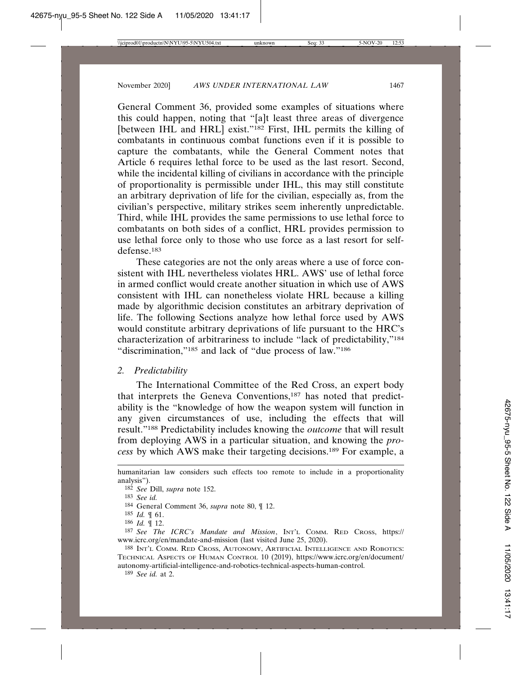General Comment 36, provided some examples of situations where this could happen, noting that "[a]t least three areas of divergence [between IHL and HRL] exist."<sup>182</sup> First, IHL permits the killing of combatants in continuous combat functions even if it is possible to capture the combatants, while the General Comment notes that Article 6 requires lethal force to be used as the last resort. Second, while the incidental killing of civilians in accordance with the principle of proportionality is permissible under IHL, this may still constitute an arbitrary deprivation of life for the civilian, especially as, from the civilian's perspective, military strikes seem inherently unpredictable. Third, while IHL provides the same permissions to use lethal force to combatants on both sides of a conflict, HRL provides permission to use lethal force only to those who use force as a last resort for selfdefense.183

These categories are not the only areas where a use of force consistent with IHL nevertheless violates HRL. AWS' use of lethal force in armed conflict would create another situation in which use of AWS consistent with IHL can nonetheless violate HRL because a killing made by algorithmic decision constitutes an arbitrary deprivation of life. The following Sections analyze how lethal force used by AWS would constitute arbitrary deprivations of life pursuant to the HRC's characterization of arbitrariness to include "lack of predictability,"184 "discrimination,"185 and lack of "due process of law."186

## *2. Predictability*

The International Committee of the Red Cross, an expert body that interprets the Geneva Conventions,187 has noted that predictability is the "knowledge of how the weapon system will function in any given circumstances of use, including the effects that will result."188 Predictability includes knowing the *outcome* that will result from deploying AWS in a particular situation, and knowing the *process* by which AWS make their targeting decisions.189 For example, a

humanitarian law considers such effects too remote to include in a proportionality analysis").

<sup>182</sup> *See* Dill, *supra* note 152.

<sup>183</sup> *See id.*

<sup>184</sup> General Comment 36, *supra* note 80, ¶ 12.

<sup>185</sup> *Id.* ¶ 61.

<sup>186</sup> *Id.* ¶ 12.

<sup>187</sup> *See The ICRC's Mandate and Mission*, INT'L COMM. RED CROSS, https:// www.icrc.org/en/mandate-and-mission (last visited June 25, 2020).

<sup>188</sup> INT'L COMM. RED CROSS, AUTONOMY, ARTIFICIAL INTELLIGENCE AND ROBOTICS: TECHNICAL ASPECTS OF HUMAN CONTROL 10 (2019), https://www.icrc.org/en/document/ autonomy-artificial-intelligence-and-robotics-technical-aspects-human-control.

<sup>189</sup> *See id.* at 2.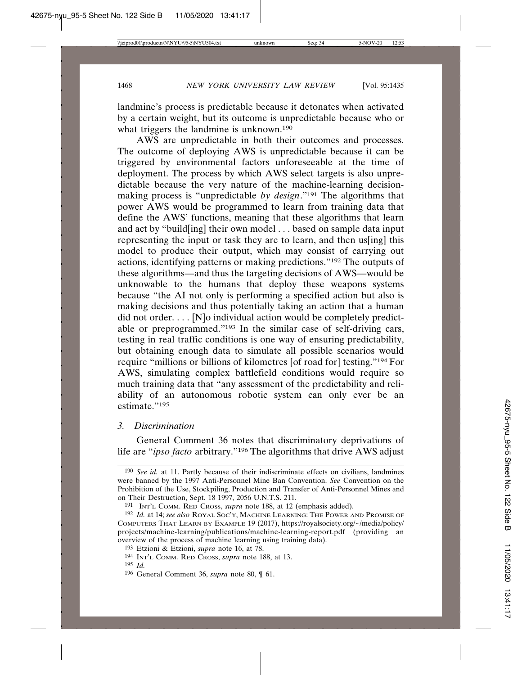landmine's process is predictable because it detonates when activated by a certain weight, but its outcome is unpredictable because who or what triggers the landmine is unknown.<sup>190</sup>

AWS are unpredictable in both their outcomes and processes. The outcome of deploying AWS is unpredictable because it can be triggered by environmental factors unforeseeable at the time of deployment. The process by which AWS select targets is also unpredictable because the very nature of the machine-learning decisionmaking process is "unpredictable *by design*."191 The algorithms that power AWS would be programmed to learn from training data that define the AWS' functions, meaning that these algorithms that learn and act by "build[ing] their own model . . . based on sample data input representing the input or task they are to learn, and then us[ing] this model to produce their output, which may consist of carrying out actions, identifying patterns or making predictions."192 The outputs of these algorithms—and thus the targeting decisions of AWS—would be unknowable to the humans that deploy these weapons systems because "the AI not only is performing a specified action but also is making decisions and thus potentially taking an action that a human did not order. . . . [N]o individual action would be completely predictable or preprogrammed."193 In the similar case of self-driving cars, testing in real traffic conditions is one way of ensuring predictability, but obtaining enough data to simulate all possible scenarios would require "millions or billions of kilometres [of road for] testing."194 For AWS, simulating complex battlefield conditions would require so much training data that "any assessment of the predictability and reliability of an autonomous robotic system can only ever be an estimate."195

## *3. Discrimination*

General Comment 36 notes that discriminatory deprivations of life are "*ipso facto* arbitrary."196 The algorithms that drive AWS adjust

<sup>190</sup> *See id.* at 11. Partly because of their indiscriminate effects on civilians, landmines were banned by the 1997 Anti-Personnel Mine Ban Convention. *See* Convention on the Prohibition of the Use, Stockpiling, Production and Transfer of Anti-Personnel Mines and on Their Destruction, Sept. 18 1997, 2056 U.N.T.S. 211.

<sup>191</sup> INT'L COMM. RED CROSS, *supra* note 188, at 12 (emphasis added).

<sup>192</sup> *Id.* at 14; *see also* ROYAL SOC'Y, MACHINE LEARNING: THE POWER AND PROMISE OF COMPUTERS THAT LEARN BY EXAMPLE 19 (2017), https://royalsociety.org/~/media/policy/ projects/machine-learning/publications/machine-learning-report.pdf (providing an overview of the process of machine learning using training data).

<sup>193</sup> Etzioni & Etzioni, *supra* note 16, at 78.

<sup>194</sup> INT'L COMM. RED CROSS, *supra* note 188, at 13.

<sup>195</sup> *Id.*

<sup>196</sup> General Comment 36, *supra* note 80, ¶ 61.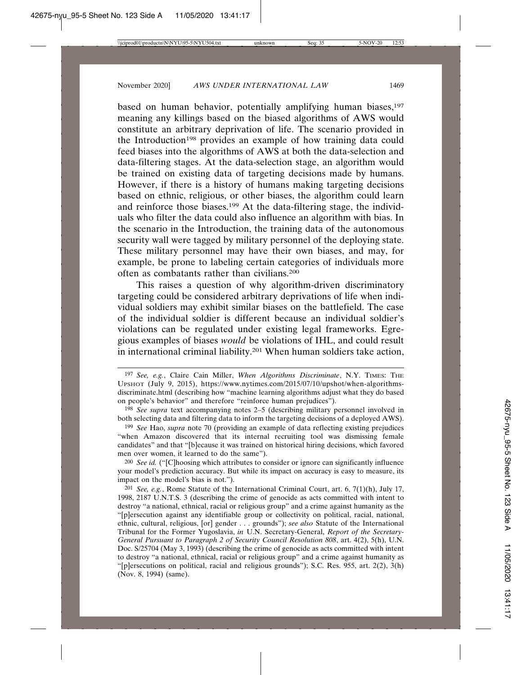based on human behavior, potentially amplifying human biases,<sup>197</sup> meaning any killings based on the biased algorithms of AWS would constitute an arbitrary deprivation of life. The scenario provided in the Introduction<sup>198</sup> provides an example of how training data could feed biases into the algorithms of AWS at both the data-selection and data-filtering stages. At the data-selection stage, an algorithm would be trained on existing data of targeting decisions made by humans. However, if there is a history of humans making targeting decisions based on ethnic, religious, or other biases, the algorithm could learn and reinforce those biases.199 At the data-filtering stage, the individuals who filter the data could also influence an algorithm with bias. In the scenario in the Introduction, the training data of the autonomous security wall were tagged by military personnel of the deploying state. These military personnel may have their own biases, and may, for example, be prone to labeling certain categories of individuals more often as combatants rather than civilians.200

This raises a question of why algorithm-driven discriminatory targeting could be considered arbitrary deprivations of life when individual soldiers may exhibit similar biases on the battlefield. The case of the individual soldier is different because an individual soldier's violations can be regulated under existing legal frameworks. Egregious examples of biases *would* be violations of IHL, and could result in international criminal liability.201 When human soldiers take action,

199 *See* Hao, *supra* note 70 (providing an example of data reflecting existing prejudices "when Amazon discovered that its internal recruiting tool was dismissing female candidates" and that "[b]ecause it was trained on historical hiring decisions, which favored men over women, it learned to do the same").

200 *See id.* ("[C]hoosing which attributes to consider or ignore can significantly influence your model's prediction accuracy. But while its impact on accuracy is easy to measure, its impact on the model's bias is not.").

201 *See, e.g.*, Rome Statute of the International Criminal Court, art. 6, 7(1)(h), July 17, 1998, 2187 U.N.T.S. 3 (describing the crime of genocide as acts committed with intent to destroy "a national, ethnical, racial or religious group" and a crime against humanity as the "[p]ersecution against any identifiable group or collectivity on political, racial, national, ethnic, cultural, religious, [or] gender . . . grounds"); *see also* Statute of the International Tribunal for the Former Yugoslavia, *in* U.N. Secretary-General, *Report of the Secretary-General Pursuant to Paragraph 2 of Security Council Resolution 808*, art. 4(2), 5(h), U.N. Doc. S/25704 (May 3, 1993) (describing the crime of genocide as acts committed with intent to destroy "a national, ethnical, racial or religious group" and a crime against humanity as "[p]ersecutions on political, racial and religious grounds"); S.C. Res. 955, art. 2(2), 3(h) (Nov. 8, 1994) (same).

<sup>197</sup> *See, e.g.*, Claire Cain Miller, *When Algorithms Discriminate*, N.Y. TIMES: THE UPSHOT (July 9, 2015), https://www.nytimes.com/2015/07/10/upshot/when-algorithmsdiscriminate.html (describing how "machine learning algorithms adjust what they do based on people's behavior" and therefore "reinforce human prejudices").

<sup>198</sup> *See supra* text accompanying notes 2–5 (describing military personnel involved in both selecting data and filtering data to inform the targeting decisions of a deployed AWS).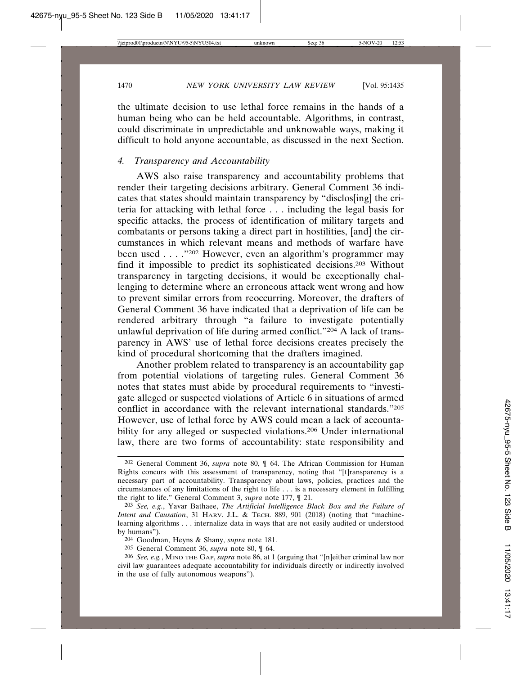the ultimate decision to use lethal force remains in the hands of a human being who can be held accountable. Algorithms, in contrast, could discriminate in unpredictable and unknowable ways, making it difficult to hold anyone accountable, as discussed in the next Section.

## *4. Transparency and Accountability*

AWS also raise transparency and accountability problems that render their targeting decisions arbitrary. General Comment 36 indicates that states should maintain transparency by "disclos[ing] the criteria for attacking with lethal force . . . including the legal basis for specific attacks, the process of identification of military targets and combatants or persons taking a direct part in hostilities, [and] the circumstances in which relevant means and methods of warfare have been used . . . . "202 However, even an algorithm's programmer may find it impossible to predict its sophisticated decisions.203 Without transparency in targeting decisions, it would be exceptionally challenging to determine where an erroneous attack went wrong and how to prevent similar errors from reoccurring. Moreover, the drafters of General Comment 36 have indicated that a deprivation of life can be rendered arbitrary through "a failure to investigate potentially unlawful deprivation of life during armed conflict."204 A lack of transparency in AWS' use of lethal force decisions creates precisely the kind of procedural shortcoming that the drafters imagined.

Another problem related to transparency is an accountability gap from potential violations of targeting rules. General Comment 36 notes that states must abide by procedural requirements to "investigate alleged or suspected violations of Article 6 in situations of armed conflict in accordance with the relevant international standards."205 However, use of lethal force by AWS could mean a lack of accountability for any alleged or suspected violations.<sup>206</sup> Under international law, there are two forms of accountability: state responsibility and

<sup>202</sup> General Comment 36, *supra* note 80, ¶ 64. The African Commission for Human Rights concurs with this assessment of transparency, noting that "[t]ransparency is a necessary part of accountability. Transparency about laws, policies, practices and the circumstances of any limitations of the right to life . . . is a necessary element in fulfilling the right to life." General Comment 3, *supra* note 177, ¶ 21.

<sup>203</sup> *See, e.g.*, Yavar Bathaee, *The Artificial Intelligence Black Box and the Failure of Intent and Causation*, 31 HARV. J.L. & TECH. 889, 901 (2018) (noting that "machinelearning algorithms . . . internalize data in ways that are not easily audited or understood by humans").

<sup>204</sup> Goodman, Heyns & Shany, *supra* note 181.

<sup>205</sup> General Comment 36, *supra* note 80, ¶ 64.

<sup>206</sup> *See, e.g.*, MIND THE GAP, *supra* note 86, at 1 (arguing that "[n]either criminal law nor civil law guarantees adequate accountability for individuals directly or indirectly involved in the use of fully autonomous weapons").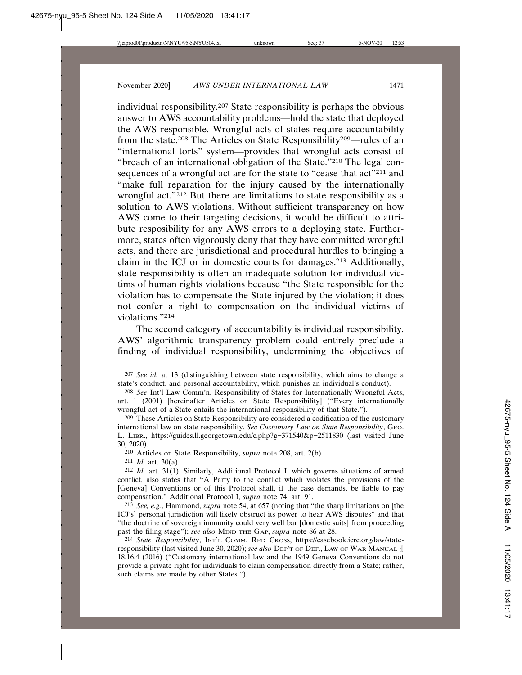individual responsibility.207 State responsibility is perhaps the obvious answer to AWS accountability problems—hold the state that deployed the AWS responsible. Wrongful acts of states require accountability from the state.208 The Articles on State Responsibility209—rules of an "international torts" system—provides that wrongful acts consist of "breach of an international obligation of the State."210 The legal consequences of a wrongful act are for the state to "cease that act"<sup>211</sup> and "make full reparation for the injury caused by the internationally wrongful act."<sup>212</sup> But there are limitations to state responsibility as a solution to AWS violations. Without sufficient transparency on how AWS come to their targeting decisions, it would be difficult to attribute resposibility for any AWS errors to a deploying state. Furthermore, states often vigorously deny that they have committed wrongful acts, and there are jurisdictional and procedural hurdles to bringing a claim in the ICJ or in domestic courts for damages.213 Additionally, state responsibility is often an inadequate solution for individual victims of human rights violations because "the State responsible for the violation has to compensate the State injured by the violation; it does not confer a right to compensation on the individual victims of violations."214

The second category of accountability is individual responsibility. AWS' algorithmic transparency problem could entirely preclude a finding of individual responsibility, undermining the objectives of

<sup>207</sup> *See id.* at 13 (distinguishing between state responsibility, which aims to change a state's conduct, and personal accountability, which punishes an individual's conduct).

<sup>208</sup> *See* Int'l Law Comm'n, Responsibility of States for Internationally Wrongful Acts, art. 1 (2001) [hereinafter Articles on State Responsibility] ("Every internationally wrongful act of a State entails the international responsibility of that State.").

<sup>209</sup> These Articles on State Responsibility are considered a codification of the customary international law on state responsibility. *See Customary Law on State Responsibility*, GEO. L. LIBR., https://guides.ll.georgetown.edu/c.php?g=371540&p=2511830 (last visited June 30, 2020).

<sup>210</sup> Articles on State Responsibility, *supra* note 208, art. 2(b).

<sup>211</sup> *Id.* art. 30(a).

<sup>212</sup> *Id.* art. 31(1). Similarly, Additional Protocol I, which governs situations of armed conflict, also states that "A Party to the conflict which violates the provisions of the [Geneva] Conventions or of this Protocol shall, if the case demands, be liable to pay compensation." Additional Protocol I, *supra* note 74, art. 91.

<sup>213</sup> *See, e.g.*, Hammond, *supra* note 54, at 657 (noting that "the sharp limitations on [the ICJ's] personal jurisdiction will likely obstruct its power to hear AWS disputes" and that "the doctrine of sovereign immunity could very well bar [domestic suits] from proceeding past the filing stage"); *see also* MIND THE GAP, *supra* note 86 at 28.

<sup>214</sup> *State Responsibility*, INT'L COMM. RED CROSS, https://casebook.icrc.org/law/stateresponsibility (last visited June 30, 2020); *see also* DEP'T OF DEF., LAW OF WAR MANUAL ¶ 18.16.4 (2016) ("Customary international law and the 1949 Geneva Conventions do not provide a private right for individuals to claim compensation directly from a State; rather, such claims are made by other States.").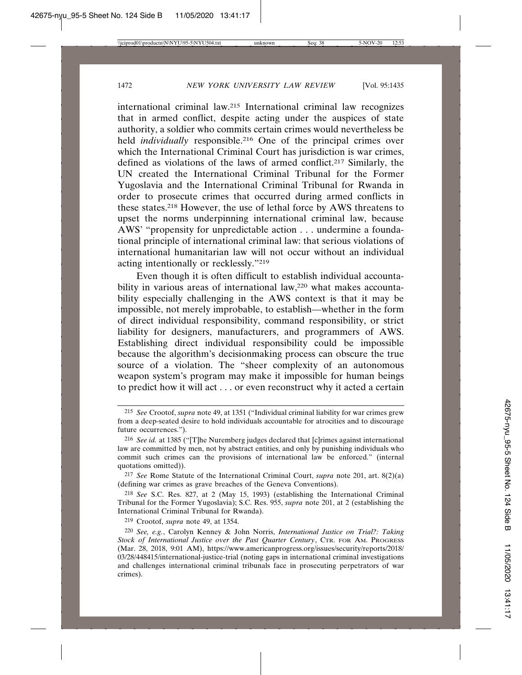international criminal law.215 International criminal law recognizes that in armed conflict, despite acting under the auspices of state authority, a soldier who commits certain crimes would nevertheless be held *individually* responsible.<sup>216</sup> One of the principal crimes over which the International Criminal Court has jurisdiction is war crimes, defined as violations of the laws of armed conflict.217 Similarly, the UN created the International Criminal Tribunal for the Former Yugoslavia and the International Criminal Tribunal for Rwanda in order to prosecute crimes that occurred during armed conflicts in these states.218 However, the use of lethal force by AWS threatens to upset the norms underpinning international criminal law, because AWS' "propensity for unpredictable action . . . undermine a foundational principle of international criminal law: that serious violations of international humanitarian law will not occur without an individual acting intentionally or recklessly."219

Even though it is often difficult to establish individual accountability in various areas of international law,<sup>220</sup> what makes accountability especially challenging in the AWS context is that it may be impossible, not merely improbable, to establish—whether in the form of direct individual responsibility, command responsibility, or strict liability for designers, manufacturers, and programmers of AWS. Establishing direct individual responsibility could be impossible because the algorithm's decisionmaking process can obscure the true source of a violation. The "sheer complexity of an autonomous weapon system's program may make it impossible for human beings to predict how it will act . . . or even reconstruct why it acted a certain

217 *See* Rome Statute of the International Criminal Court, *supra* note 201, art. 8(2)(a) (defining war crimes as grave breaches of the Geneva Conventions).

218 *See* S.C. Res. 827, at 2 (May 15, 1993) (establishing the International Criminal Tribunal for the Former Yugoslavia); S.C. Res. 955, *supra* note 201, at 2 (establishing the International Criminal Tribunal for Rwanda).

219 Crootof, *supra* note 49, at 1354.

<sup>215</sup> *See* Crootof, *supra* note 49, at 1351 ("Individual criminal liability for war crimes grew from a deep-seated desire to hold individuals accountable for atrocities and to discourage future occurrences.").

<sup>216</sup> *See id.* at 1385 ("[T]he Nuremberg judges declared that [c]rimes against international law are committed by men, not by abstract entities, and only by punishing individuals who commit such crimes can the provisions of international law be enforced." (internal quotations omitted)).

<sup>220</sup> *See, e.g.*, Carolyn Kenney & John Norris, *International Justice on Trial?: Taking Stock of International Justice over the Past Quarter Century*, CTR. FOR AM. PROGRESS (Mar. 28, 2018, 9:01 AM), https://www.americanprogress.org/issues/security/reports/2018/ 03/28/448415/international-justice-trial (noting gaps in international criminal investigations and challenges international criminal tribunals face in prosecuting perpetrators of war crimes).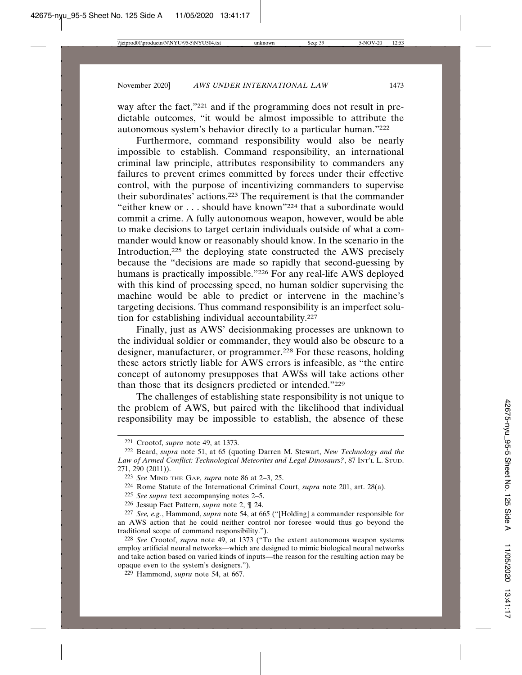way after the fact,"<sup>221</sup> and if the programming does not result in predictable outcomes, "it would be almost impossible to attribute the autonomous system's behavior directly to a particular human."222

Furthermore, command responsibility would also be nearly impossible to establish. Command responsibility, an international criminal law principle, attributes responsibility to commanders any failures to prevent crimes committed by forces under their effective control, with the purpose of incentivizing commanders to supervise their subordinates' actions.223 The requirement is that the commander "either knew or . . . should have known"224 that a subordinate would commit a crime. A fully autonomous weapon, however, would be able to make decisions to target certain individuals outside of what a commander would know or reasonably should know. In the scenario in the Introduction,<sup>225</sup> the deploying state constructed the AWS precisely because the "decisions are made so rapidly that second-guessing by humans is practically impossible."<sup>226</sup> For any real-life AWS deployed with this kind of processing speed, no human soldier supervising the machine would be able to predict or intervene in the machine's targeting decisions. Thus command responsibility is an imperfect solution for establishing individual accountability.227

Finally, just as AWS' decisionmaking processes are unknown to the individual soldier or commander, they would also be obscure to a designer, manufacturer, or programmer.<sup>228</sup> For these reasons, holding these actors strictly liable for AWS errors is infeasible, as "the entire concept of autonomy presupposes that AWSs will take actions other than those that its designers predicted or intended."229

The challenges of establishing state responsibility is not unique to the problem of AWS, but paired with the likelihood that individual responsibility may be impossible to establish, the absence of these

- 225 *See supra* text accompanying notes 2–5.
- 226 Jessup Fact Pattern, *supra* note 2, ¶ 24.

<sup>221</sup> Crootof, *supra* note 49, at 1373.

<sup>222</sup> Beard, *supra* note 51, at 65 (quoting Darren M. Stewart, *New Technology and the Law of Armed Conflict: Technological Meteorites and Legal Dinosaurs?*, 87 INT'L L. STUD. 271, 290 (2011)).

<sup>223</sup> *See* MIND THE GAP, *supra* note 86 at 2–3, 25.

<sup>224</sup> Rome Statute of the International Criminal Court, *supra* note 201, art. 28(a).

<sup>227</sup> *See, e.g.*, Hammond, *supra* note 54, at 665 ("[Holding] a commander responsible for an AWS action that he could neither control nor foresee would thus go beyond the traditional scope of command responsibility.").

<sup>228</sup> *See* Crootof, *supra* note 49, at 1373 ("To the extent autonomous weapon systems employ artificial neural networks—which are designed to mimic biological neural networks and take action based on varied kinds of inputs—the reason for the resulting action may be opaque even to the system's designers.").

<sup>229</sup> Hammond, *supra* note 54, at 667.